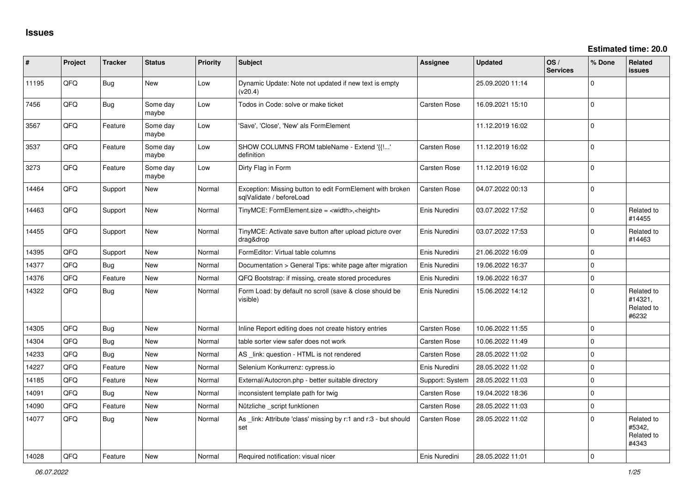| ∦     | Project | <b>Tracker</b> | <b>Status</b>     | <b>Priority</b> | <b>Subject</b>                                                                        | <b>Assignee</b>     | <b>Updated</b>   | OS/<br><b>Services</b> | % Done       | Related<br>issues                            |
|-------|---------|----------------|-------------------|-----------------|---------------------------------------------------------------------------------------|---------------------|------------------|------------------------|--------------|----------------------------------------------|
| 11195 | QFQ     | Bug            | <b>New</b>        | Low             | Dynamic Update: Note not updated if new text is empty<br>(v20.4)                      |                     | 25.09.2020 11:14 |                        | $\Omega$     |                                              |
| 7456  | QFQ     | <b>Bug</b>     | Some day<br>maybe | Low             | Todos in Code: solve or make ticket                                                   | <b>Carsten Rose</b> | 16.09.2021 15:10 |                        | $\mathbf 0$  |                                              |
| 3567  | QFQ     | Feature        | Some day<br>maybe | Low             | 'Save', 'Close', 'New' als FormElement                                                |                     | 11.12.2019 16:02 |                        | $\mathbf 0$  |                                              |
| 3537  | QFQ     | Feature        | Some day<br>maybe | Low             | SHOW COLUMNS FROM tableName - Extend '{{!'<br>definition                              | <b>Carsten Rose</b> | 11.12.2019 16:02 |                        | $\mathbf 0$  |                                              |
| 3273  | QFQ     | Feature        | Some day<br>maybe | Low             | Dirty Flag in Form                                                                    | <b>Carsten Rose</b> | 11.12.2019 16:02 |                        | $\mathbf 0$  |                                              |
| 14464 | QFQ     | Support        | New               | Normal          | Exception: Missing button to edit FormElement with broken<br>salValidate / beforeLoad | <b>Carsten Rose</b> | 04.07.2022 00:13 |                        | $\mathbf 0$  |                                              |
| 14463 | QFQ     | Support        | New               | Normal          | TinyMCE: FormElement.size = <width>,<height></height></width>                         | Enis Nuredini       | 03.07.2022 17:52 |                        | $\Omega$     | Related to<br>#14455                         |
| 14455 | QFQ     | Support        | New               | Normal          | TinyMCE: Activate save button after upload picture over<br>drag&drop                  | Enis Nuredini       | 03.07.2022 17:53 |                        | $\Omega$     | Related to<br>#14463                         |
| 14395 | QFQ     | Support        | New               | Normal          | FormEditor: Virtual table columns                                                     | Enis Nuredini       | 21.06.2022 16:09 |                        | $\Omega$     |                                              |
| 14377 | QFQ     | Bug            | <b>New</b>        | Normal          | Documentation > General Tips: white page after migration                              | Enis Nuredini       | 19.06.2022 16:37 |                        | $\Omega$     |                                              |
| 14376 | QFQ     | Feature        | New               | Normal          | QFQ Bootstrap: if missing, create stored procedures                                   | Enis Nuredini       | 19.06.2022 16:37 |                        | $\mathbf 0$  |                                              |
| 14322 | QFQ     | Bug            | New               | Normal          | Form Load: by default no scroll (save & close should be<br>visible)                   | Enis Nuredini       | 15.06.2022 14:12 |                        | $\mathbf 0$  | Related to<br>#14321,<br>Related to<br>#6232 |
| 14305 | QFQ     | Bug            | <b>New</b>        | Normal          | Inline Report editing does not create history entries                                 | Carsten Rose        | 10.06.2022 11:55 |                        | $\mathbf 0$  |                                              |
| 14304 | QFQ     | Bug            | <b>New</b>        | Normal          | table sorter view safer does not work                                                 | <b>Carsten Rose</b> | 10.06.2022 11:49 |                        | $\Omega$     |                                              |
| 14233 | QFQ     | <b>Bug</b>     | <b>New</b>        | Normal          | AS link: question - HTML is not rendered                                              | <b>Carsten Rose</b> | 28.05.2022 11:02 |                        | $\mathbf 0$  |                                              |
| 14227 | QFQ     | Feature        | <b>New</b>        | Normal          | Selenium Konkurrenz: cypress.io                                                       | Enis Nuredini       | 28.05.2022 11:02 |                        | $\mathbf 0$  |                                              |
| 14185 | QFQ     | Feature        | <b>New</b>        | Normal          | External/Autocron.php - better suitable directory                                     | Support: System     | 28.05.2022 11:03 |                        | $\mathbf 0$  |                                              |
| 14091 | QFQ     | Bug            | New               | Normal          | inconsistent template path for twig                                                   | <b>Carsten Rose</b> | 19.04.2022 18:36 |                        | $\Omega$     |                                              |
| 14090 | QFQ     | Feature        | <b>New</b>        | Normal          | Nützliche _script funktionen                                                          | Carsten Rose        | 28.05.2022 11:03 |                        | $\mathbf{0}$ |                                              |
| 14077 | QFQ     | Bug            | New               | Normal          | As _link: Attribute 'class' missing by r:1 and r:3 - but should<br>set                | <b>Carsten Rose</b> | 28.05.2022 11:02 |                        | $\Omega$     | Related to<br>#5342.<br>Related to<br>#4343  |
| 14028 | QFQ     | Feature        | New               | Normal          | Required notification: visual nicer                                                   | Enis Nuredini       | 28.05.2022 11:01 |                        | $\mathbf 0$  |                                              |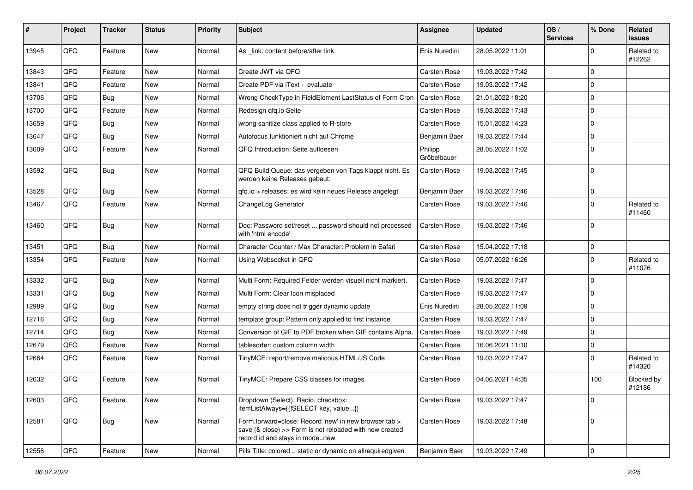| #     | Project | <b>Tracker</b> | <b>Status</b> | Priority | <b>Subject</b>                                                                                                                                      | <b>Assignee</b>        | <b>Updated</b>   | OS/<br><b>Services</b> | % Done         | Related<br>issues    |
|-------|---------|----------------|---------------|----------|-----------------------------------------------------------------------------------------------------------------------------------------------------|------------------------|------------------|------------------------|----------------|----------------------|
| 13945 | QFQ     | Feature        | New           | Normal   | As link: content before/after link                                                                                                                  | Enis Nuredini          | 28.05.2022 11:01 |                        | $\Omega$       | Related to<br>#12262 |
| 13843 | QFQ     | Feature        | New           | Normal   | Create JWT via QFQ                                                                                                                                  | <b>Carsten Rose</b>    | 19.03.2022 17:42 |                        | $\Omega$       |                      |
| 13841 | QFQ     | Feature        | New           | Normal   | Create PDF via iText - evaluate                                                                                                                     | <b>Carsten Rose</b>    | 19.03.2022 17:42 |                        | $\Omega$       |                      |
| 13706 | QFQ     | Bug            | New           | Normal   | Wrong CheckType in FieldElement LastStatus of Form Cron                                                                                             | <b>Carsten Rose</b>    | 21.01.2022 18:20 |                        | $\mathbf 0$    |                      |
| 13700 | QFQ     | Feature        | New           | Normal   | Redesign gfg.io Seite                                                                                                                               | <b>Carsten Rose</b>    | 19.03.2022 17:43 |                        | $\mathbf 0$    |                      |
| 13659 | QFQ     | Bug            | New           | Normal   | wrong sanitize class applied to R-store                                                                                                             | <b>Carsten Rose</b>    | 15.01.2022 14:23 |                        | $\mathbf 0$    |                      |
| 13647 | QFQ     | Bug            | New           | Normal   | Autofocus funktioniert nicht auf Chrome                                                                                                             | Benjamin Baer          | 19.03.2022 17:44 |                        | $\Omega$       |                      |
| 13609 | QFQ     | Feature        | New           | Normal   | QFQ Introduction: Seite aufloesen                                                                                                                   | Philipp<br>Gröbelbauer | 28.05.2022 11:02 |                        | $\Omega$       |                      |
| 13592 | QFQ     | Bug            | New           | Normal   | QFQ Build Queue: das vergeben von Tags klappt nicht. Es<br>werden keine Releases gebaut.                                                            | <b>Carsten Rose</b>    | 19.03.2022 17:45 |                        | 0              |                      |
| 13528 | QFQ     | Bug            | New           | Normal   | gfg.io > releases: es wird kein neues Release angelegt                                                                                              | Benjamin Baer          | 19.03.2022 17:46 |                        | 0              |                      |
| 13467 | QFQ     | Feature        | New           | Normal   | ChangeLog Generator                                                                                                                                 | <b>Carsten Rose</b>    | 19.03.2022 17:46 |                        | $\Omega$       | Related to<br>#11460 |
| 13460 | QFQ     | Bug            | New           | Normal   | Doc: Password set/reset  password should not processed<br>with 'html encode'                                                                        | <b>Carsten Rose</b>    | 19.03.2022 17:46 |                        | $\Omega$       |                      |
| 13451 | QFQ     | Bug            | New           | Normal   | Character Counter / Max Character: Problem in Safari                                                                                                | <b>Carsten Rose</b>    | 15.04.2022 17:18 |                        | 0              |                      |
| 13354 | QFQ     | Feature        | New           | Normal   | Using Websocket in QFQ                                                                                                                              | <b>Carsten Rose</b>    | 05.07.2022 16:26 |                        | $\Omega$       | Related to<br>#11076 |
| 13332 | QFQ     | Bug            | New           | Normal   | Multi Form: Required Felder werden visuell nicht markiert.                                                                                          | <b>Carsten Rose</b>    | 19.03.2022 17:47 |                        | $\mathbf 0$    |                      |
| 13331 | QFQ     | Bug            | New           | Normal   | Multi Form: Clear Icon misplaced                                                                                                                    | Carsten Rose           | 19.03.2022 17:47 |                        | $\overline{0}$ |                      |
| 12989 | QFQ     | Bug            | New           | Normal   | empty string does not trigger dynamic update                                                                                                        | Enis Nuredini          | 28.05.2022 11:09 |                        | $\mathbf 0$    |                      |
| 12716 | QFQ     | Bug            | New           | Normal   | template group: Pattern only applied to first instance                                                                                              | <b>Carsten Rose</b>    | 19.03.2022 17:47 |                        | $\Omega$       |                      |
| 12714 | QFQ     | Bug            | New           | Normal   | Conversion of GIF to PDF broken when GIF contains Alpha.                                                                                            | <b>Carsten Rose</b>    | 19.03.2022 17:49 |                        | $\Omega$       |                      |
| 12679 | QFQ     | Feature        | New           | Normal   | tablesorter: custom column width                                                                                                                    | <b>Carsten Rose</b>    | 16.06.2021 11:10 |                        | $\mathbf 0$    |                      |
| 12664 | QFQ     | Feature        | New           | Normal   | TinyMCE: report/remove malicous HTML/JS Code                                                                                                        | <b>Carsten Rose</b>    | 19.03.2022 17:47 |                        | $\Omega$       | Related to<br>#14320 |
| 12632 | QFQ     | Feature        | New           | Normal   | TinyMCE: Prepare CSS classes for images                                                                                                             | <b>Carsten Rose</b>    | 04.06.2021 14:35 |                        | 100            | Blocked by<br>#12186 |
| 12603 | QFQ     | Feature        | New           | Normal   | Dropdown (Select), Radio, checkbox:<br>itemListAlways={{!SELECT key, value}}                                                                        | Carsten Rose           | 19.03.2022 17:47 |                        | 0              |                      |
| 12581 | QFQ     | <b>Bug</b>     | New           | Normal   | Form.forward=close: Record 'new' in new browser tab ><br>save (& close) >> Form is not reloaded with new created<br>record id and stays in mode=new | Carsten Rose           | 19.03.2022 17:48 |                        | l o            |                      |
| 12556 | QFQ     | Feature        | New           | Normal   | Pills Title: colored = static or dynamic on allrequiredgiven                                                                                        | Benjamin Baer          | 19.03.2022 17:49 |                        | 0              |                      |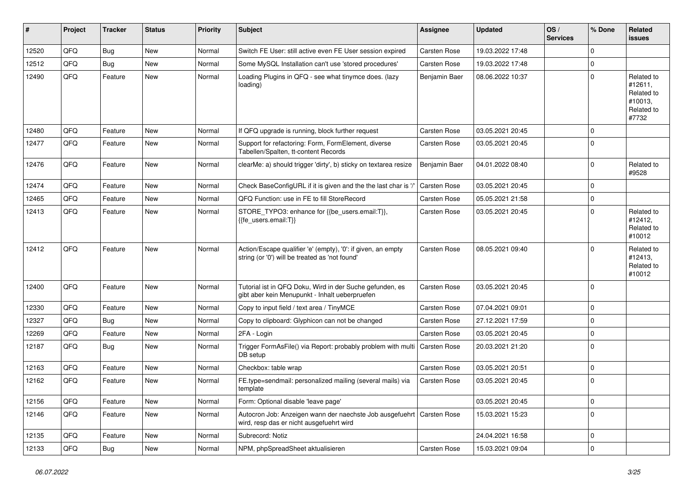| #     | Project | <b>Tracker</b> | <b>Status</b> | <b>Priority</b> | Subject                                                                                                        | <b>Assignee</b>     | <b>Updated</b>   | OS/<br><b>Services</b> | % Done      | Related<br>issues                                                     |
|-------|---------|----------------|---------------|-----------------|----------------------------------------------------------------------------------------------------------------|---------------------|------------------|------------------------|-------------|-----------------------------------------------------------------------|
| 12520 | QFQ     | Bug            | New           | Normal          | Switch FE User: still active even FE User session expired                                                      | Carsten Rose        | 19.03.2022 17:48 |                        | $\Omega$    |                                                                       |
| 12512 | QFQ     | Bug            | New           | Normal          | Some MySQL Installation can't use 'stored procedures'                                                          | <b>Carsten Rose</b> | 19.03.2022 17:48 |                        | $\Omega$    |                                                                       |
| 12490 | QFQ     | Feature        | New           | Normal          | Loading Plugins in QFQ - see what tinymce does. (lazy<br>loading)                                              | Benjamin Baer       | 08.06.2022 10:37 |                        | $\Omega$    | Related to<br>#12611,<br>Related to<br>#10013,<br>Related to<br>#7732 |
| 12480 | QFQ     | Feature        | New           | Normal          | If QFQ upgrade is running, block further request                                                               | Carsten Rose        | 03.05.2021 20:45 |                        | $\Omega$    |                                                                       |
| 12477 | QFQ     | Feature        | New           | Normal          | Support for refactoring: Form, FormElement, diverse<br>Tabellen/Spalten, tt-content Records                    | <b>Carsten Rose</b> | 03.05.2021 20:45 |                        | $\Omega$    |                                                                       |
| 12476 | QFQ     | Feature        | New           | Normal          | clearMe: a) should trigger 'dirty', b) sticky on textarea resize                                               | Benjamin Baer       | 04.01.2022 08:40 |                        | $\Omega$    | Related to<br>#9528                                                   |
| 12474 | QFQ     | Feature        | New           | Normal          | Check BaseConfigURL if it is given and the the last char is '/                                                 | <b>Carsten Rose</b> | 03.05.2021 20:45 |                        | $\Omega$    |                                                                       |
| 12465 | QFQ     | Feature        | New           | Normal          | QFQ Function: use in FE to fill StoreRecord                                                                    | Carsten Rose        | 05.05.2021 21:58 |                        | $\mathbf 0$ |                                                                       |
| 12413 | QFQ     | Feature        | New           | Normal          | STORE_TYPO3: enhance for {{be_users.email:T}},<br>{{fe users.email:T}}                                         | <b>Carsten Rose</b> | 03.05.2021 20:45 |                        | $\Omega$    | Related to<br>#12412,<br>Related to<br>#10012                         |
| 12412 | QFQ     | Feature        | New           | Normal          | Action/Escape qualifier 'e' (empty), '0': if given, an empty<br>string (or '0') will be treated as 'not found' | Carsten Rose        | 08.05.2021 09:40 |                        | $\Omega$    | Related to<br>#12413,<br>Related to<br>#10012                         |
| 12400 | QFQ     | Feature        | New           | Normal          | Tutorial ist in QFQ Doku, Wird in der Suche gefunden, es<br>gibt aber kein Menupunkt - Inhalt ueberpruefen     | Carsten Rose        | 03.05.2021 20:45 |                        | $\Omega$    |                                                                       |
| 12330 | QFQ     | Feature        | <b>New</b>    | Normal          | Copy to input field / text area / TinyMCE                                                                      | Carsten Rose        | 07.04.2021 09:01 |                        | $\Omega$    |                                                                       |
| 12327 | QFQ     | <b>Bug</b>     | New           | Normal          | Copy to clipboard: Glyphicon can not be changed                                                                | <b>Carsten Rose</b> | 27.12.2021 17:59 |                        | $\mathbf 0$ |                                                                       |
| 12269 | QFQ     | Feature        | New           | Normal          | 2FA - Login                                                                                                    | <b>Carsten Rose</b> | 03.05.2021 20:45 |                        | $\mathbf 0$ |                                                                       |
| 12187 | QFQ     | Bug            | New           | Normal          | Trigger FormAsFile() via Report: probably problem with multi<br>DB setup                                       | Carsten Rose        | 20.03.2021 21:20 |                        | $\Omega$    |                                                                       |
| 12163 | QFQ     | Feature        | New           | Normal          | Checkbox: table wrap                                                                                           | Carsten Rose        | 03.05.2021 20:51 |                        | $\mathbf 0$ |                                                                       |
| 12162 | QFQ     | Feature        | New           | Normal          | FE.type=sendmail: personalized mailing (several mails) via<br>template                                         | <b>Carsten Rose</b> | 03.05.2021 20:45 |                        | $\Omega$    |                                                                       |
| 12156 | QFQ     | Feature        | New           | Normal          | Form: Optional disable 'leave page'                                                                            |                     | 03.05.2021 20:45 |                        | $\mathbf 0$ |                                                                       |
| 12146 | QFQ     | Feature        | New           | Normal          | Autocron Job: Anzeigen wann der naechste Job ausgefuehrt<br>wird, resp das er nicht ausgefuehrt wird           | Carsten Rose        | 15.03.2021 15:23 |                        | $\mathbf 0$ |                                                                       |
| 12135 | QFQ     | Feature        | New           | Normal          | Subrecord: Notiz                                                                                               |                     | 24.04.2021 16:58 |                        | $\mathbf 0$ |                                                                       |
| 12133 | QFQ     | Bug            | New           | Normal          | NPM, phpSpreadSheet aktualisieren                                                                              | Carsten Rose        | 15.03.2021 09:04 |                        | $\mathbf 0$ |                                                                       |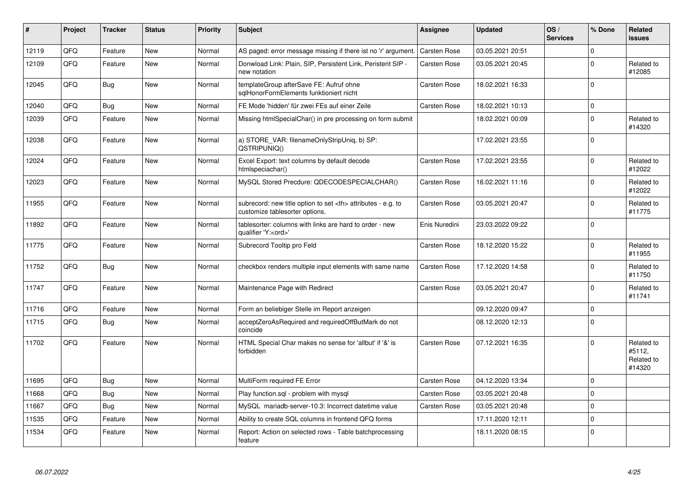| $\vert$ # | <b>Project</b> | <b>Tracker</b> | <b>Status</b> | <b>Priority</b> | <b>Subject</b>                                                                                       | Assignee                                               | <b>Updated</b>      | OS/<br><b>Services</b> | % Done      | Related<br><b>issues</b>                     |                      |
|-----------|----------------|----------------|---------------|-----------------|------------------------------------------------------------------------------------------------------|--------------------------------------------------------|---------------------|------------------------|-------------|----------------------------------------------|----------------------|
| 12119     | QFQ            | Feature        | New           | Normal          | AS paged: error message missing if there ist no 'r' argument.                                        | <b>Carsten Rose</b>                                    | 03.05.2021 20:51    |                        | $\mathbf 0$ |                                              |                      |
| 12109     | QFQ            | Feature        | New           | Normal          | Donwload Link: Plain, SIP, Persistent Link, Peristent SIP -<br>new notation                          | Carsten Rose                                           | 03.05.2021 20:45    |                        | $\mathbf 0$ | Related to<br>#12085                         |                      |
| 12045     | QFQ            | Bug            | New           | Normal          | templateGroup afterSave FE: Aufruf ohne<br>sqlHonorFormElements funktioniert nicht                   | Carsten Rose                                           | 18.02.2021 16:33    |                        | $\mathbf 0$ |                                              |                      |
| 12040     | QFQ            | <b>Bug</b>     | <b>New</b>    | Normal          | FE Mode 'hidden' für zwei FEs auf einer Zeile                                                        | <b>Carsten Rose</b>                                    | 18.02.2021 10:13    |                        | $\mathbf 0$ |                                              |                      |
| 12039     | QFQ            | Feature        | New           | Normal          | Missing htmlSpecialChar() in pre processing on form submit                                           |                                                        | 18.02.2021 00:09    |                        | $\mathbf 0$ | Related to<br>#14320                         |                      |
| 12038     | QFQ            | Feature        | New           | Normal          | a) STORE_VAR: filenameOnlyStripUniq, b) SP:<br>QSTRIPUNIQ()                                          |                                                        | 17.02.2021 23:55    |                        | $\mathbf 0$ |                                              |                      |
| 12024     | QFQ            | Feature        | New           | Normal          | Excel Export: text columns by default decode<br>htmlspeciachar()                                     | Carsten Rose                                           | 17.02.2021 23:55    |                        | $\mathbf 0$ | Related to<br>#12022                         |                      |
| 12023     | QFQ            | Feature        | <b>New</b>    | Normal          | MySQL Stored Precdure: QDECODESPECIALCHAR()                                                          | <b>Carsten Rose</b>                                    | 16.02.2021 11:16    |                        | $\mathbf 0$ | Related to<br>#12022                         |                      |
| 11955     | QFQ            | Feature        | <b>New</b>    | Normal          | subrecord: new title option to set <th> attributes - e.g. to<br/>customize tablesorter options.</th> | attributes - e.g. to<br>customize tablesorter options. | <b>Carsten Rose</b> | 03.05.2021 20:47       |             | $\mathbf 0$                                  | Related to<br>#11775 |
| 11892     | QFQ            | Feature        | New           | Normal          | tablesorter: columns with links are hard to order - new<br>qualifier 'Y: <ord>'</ord>                | Enis Nuredini                                          | 23.03.2022 09:22    |                        | $\mathbf 0$ |                                              |                      |
| 11775     | QFQ            | Feature        | New           | Normal          | Subrecord Tooltip pro Feld                                                                           | Carsten Rose                                           | 18.12.2020 15:22    |                        | $\mathbf 0$ | Related to<br>#11955                         |                      |
| 11752     | QFQ            | Bug            | New           | Normal          | checkbox renders multiple input elements with same name                                              | <b>Carsten Rose</b>                                    | 17.12.2020 14:58    |                        | $\mathbf 0$ | Related to<br>#11750                         |                      |
| 11747     | QFQ            | Feature        | New           | Normal          | Maintenance Page with Redirect                                                                       | Carsten Rose                                           | 03.05.2021 20:47    |                        | $\mathbf 0$ | Related to<br>#11741                         |                      |
| 11716     | QFQ            | Feature        | New           | Normal          | Form an beliebiger Stelle im Report anzeigen                                                         |                                                        | 09.12.2020 09:47    |                        | $\mathbf 0$ |                                              |                      |
| 11715     | QFQ            | Bug            | New           | Normal          | acceptZeroAsRequired and requiredOffButMark do not<br>coincide                                       |                                                        | 08.12.2020 12:13    |                        | $\Omega$    |                                              |                      |
| 11702     | QFQ            | Feature        | New           | Normal          | HTML Special Char makes no sense for 'allbut' if '&' is<br>forbidden                                 | <b>Carsten Rose</b>                                    | 07.12.2021 16:35    |                        | $\mathbf 0$ | Related to<br>#5112,<br>Related to<br>#14320 |                      |
| 11695     | QFQ            | Bug            | New           | Normal          | MultiForm required FE Error                                                                          | <b>Carsten Rose</b>                                    | 04.12.2020 13:34    |                        | $\mathbf 0$ |                                              |                      |
| 11668     | QFQ            | <b>Bug</b>     | <b>New</b>    | Normal          | Play function.sql - problem with mysql                                                               | <b>Carsten Rose</b>                                    | 03.05.2021 20:48    |                        | $\mathbf 0$ |                                              |                      |
| 11667     | QFQ            | Bug            | <b>New</b>    | Normal          | MySQL mariadb-server-10.3: Incorrect datetime value                                                  | <b>Carsten Rose</b>                                    | 03.05.2021 20:48    |                        | $\mathbf 0$ |                                              |                      |
| 11535     | QFQ            | Feature        | <b>New</b>    | Normal          | Ability to create SQL columns in frontend QFQ forms                                                  |                                                        | 17.11.2020 12:11    |                        | $\mathbf 0$ |                                              |                      |
| 11534     | QFQ            | Feature        | New           | Normal          | Report: Action on selected rows - Table batchprocessing<br>feature                                   |                                                        | 18.11.2020 08:15    |                        | $\Omega$    |                                              |                      |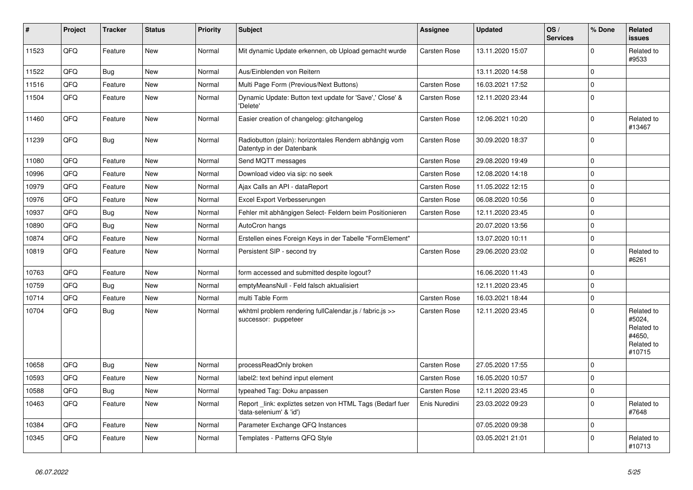| #     | Project | <b>Tracker</b> | <b>Status</b> | <b>Priority</b> | <b>Subject</b>                                                                      | Assignee            | <b>Updated</b>   | OS/<br><b>Services</b> | % Done      | Related<br><b>issues</b>                                             |
|-------|---------|----------------|---------------|-----------------|-------------------------------------------------------------------------------------|---------------------|------------------|------------------------|-------------|----------------------------------------------------------------------|
| 11523 | QFQ     | Feature        | <b>New</b>    | Normal          | Mit dynamic Update erkennen, ob Upload gemacht wurde                                | Carsten Rose        | 13.11.2020 15:07 |                        | $\Omega$    | Related to<br>#9533                                                  |
| 11522 | QFQ     | <b>Bug</b>     | <b>New</b>    | Normal          | Aus/Einblenden von Reitern                                                          |                     | 13.11.2020 14:58 |                        | $\mathbf 0$ |                                                                      |
| 11516 | QFQ     | Feature        | <b>New</b>    | Normal          | Multi Page Form (Previous/Next Buttons)                                             | Carsten Rose        | 16.03.2021 17:52 |                        | $\mathbf 0$ |                                                                      |
| 11504 | QFQ     | Feature        | <b>New</b>    | Normal          | Dynamic Update: Button text update for 'Save',' Close' &<br>'Delete'                | Carsten Rose        | 12.11.2020 23:44 |                        | $\mathbf 0$ |                                                                      |
| 11460 | QFQ     | Feature        | <b>New</b>    | Normal          | Easier creation of changelog: gitchangelog                                          | Carsten Rose        | 12.06.2021 10:20 |                        | $\Omega$    | Related to<br>#13467                                                 |
| 11239 | QFQ     | <b>Bug</b>     | New           | Normal          | Radiobutton (plain): horizontales Rendern abhängig vom<br>Datentyp in der Datenbank | Carsten Rose        | 30.09.2020 18:37 |                        | $\mathbf 0$ |                                                                      |
| 11080 | QFQ     | Feature        | <b>New</b>    | Normal          | Send MQTT messages                                                                  | Carsten Rose        | 29.08.2020 19:49 |                        | $\mathbf 0$ |                                                                      |
| 10996 | QFQ     | Feature        | <b>New</b>    | Normal          | Download video via sip: no seek                                                     | Carsten Rose        | 12.08.2020 14:18 |                        | $\mathbf 0$ |                                                                      |
| 10979 | QFQ     | Feature        | <b>New</b>    | Normal          | Ajax Calls an API - dataReport                                                      | Carsten Rose        | 11.05.2022 12:15 |                        | $\mathbf 0$ |                                                                      |
| 10976 | QFQ     | Feature        | <b>New</b>    | Normal          | Excel Export Verbesserungen                                                         | Carsten Rose        | 06.08.2020 10:56 |                        | $\Omega$    |                                                                      |
| 10937 | QFQ     | <b>Bug</b>     | <b>New</b>    | Normal          | Fehler mit abhängigen Select- Feldern beim Positionieren                            | Carsten Rose        | 12.11.2020 23:45 |                        | $\Omega$    |                                                                      |
| 10890 | QFQ     | Bug            | <b>New</b>    | Normal          | AutoCron hangs                                                                      |                     | 20.07.2020 13:56 |                        | $\mathbf 0$ |                                                                      |
| 10874 | QFQ     | Feature        | New           | Normal          | Erstellen eines Foreign Keys in der Tabelle "FormElement"                           |                     | 13.07.2020 10:11 |                        | $\mathbf 0$ |                                                                      |
| 10819 | QFQ     | Feature        | <b>New</b>    | Normal          | Persistent SIP - second try                                                         | Carsten Rose        | 29.06.2020 23:02 |                        | $\mathbf 0$ | Related to<br>#6261                                                  |
| 10763 | QFQ     | Feature        | <b>New</b>    | Normal          | form accessed and submitted despite logout?                                         |                     | 16.06.2020 11:43 |                        | $\Omega$    |                                                                      |
| 10759 | QFQ     | Bug            | <b>New</b>    | Normal          | emptyMeansNull - Feld falsch aktualisiert                                           |                     | 12.11.2020 23:45 |                        | $\mathbf 0$ |                                                                      |
| 10714 | QFQ     | Feature        | <b>New</b>    | Normal          | multi Table Form                                                                    | Carsten Rose        | 16.03.2021 18:44 |                        | $\mathbf 0$ |                                                                      |
| 10704 | QFQ     | <b>Bug</b>     | <b>New</b>    | Normal          | wkhtml problem rendering fullCalendar.js / fabric.js >><br>successor: puppeteer     | Carsten Rose        | 12.11.2020 23:45 |                        | $\Omega$    | Related to<br>#5024,<br>Related to<br>#4650,<br>Related to<br>#10715 |
| 10658 | QFQ     | <b>Bug</b>     | <b>New</b>    | Normal          | processReadOnly broken                                                              | <b>Carsten Rose</b> | 27.05.2020 17:55 |                        | 0           |                                                                      |
| 10593 | QFQ     | Feature        | New           | Normal          | label2: text behind input element                                                   | Carsten Rose        | 16.05.2020 10:57 |                        | $\Omega$    |                                                                      |
| 10588 | QFQ     | Bug            | <b>New</b>    | Normal          | typeahed Tag: Doku anpassen                                                         | Carsten Rose        | 12.11.2020 23:45 |                        | $\mathbf 0$ |                                                                      |
| 10463 | QFQ     | Feature        | New           | Normal          | Report link: expliztes setzen von HTML Tags (Bedarf fuer<br>'data-selenium' & 'id') | Enis Nuredini       | 23.03.2022 09:23 |                        | $\Omega$    | Related to<br>#7648                                                  |
| 10384 | QFQ     | Feature        | <b>New</b>    | Normal          | Parameter Exchange QFQ Instances                                                    |                     | 07.05.2020 09:38 |                        | $\mathbf 0$ |                                                                      |
| 10345 | QFQ     | Feature        | New           | Normal          | Templates - Patterns QFQ Style                                                      |                     | 03.05.2021 21:01 |                        | $\Omega$    | Related to<br>#10713                                                 |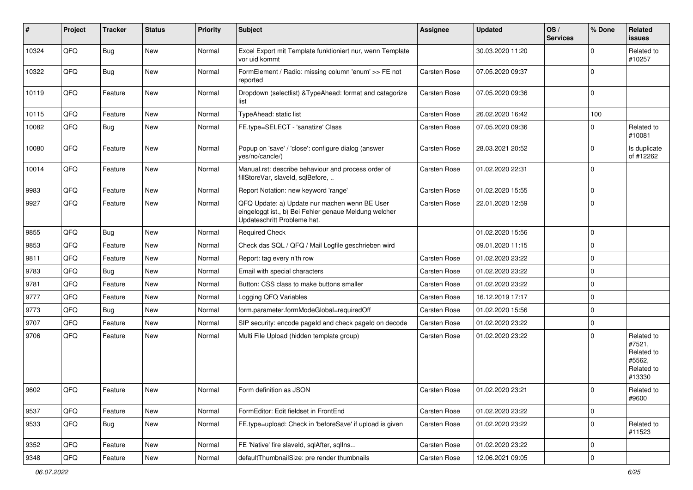| #     | Project | <b>Tracker</b> | <b>Status</b> | Priority | Subject                                                                                                                               | <b>Assignee</b>     | <b>Updated</b>   | OS/<br><b>Services</b> | % Done      | Related<br>issues                                                    |
|-------|---------|----------------|---------------|----------|---------------------------------------------------------------------------------------------------------------------------------------|---------------------|------------------|------------------------|-------------|----------------------------------------------------------------------|
| 10324 | QFQ     | Bug            | New           | Normal   | Excel Export mit Template funktioniert nur, wenn Template<br>vor uid kommt                                                            |                     | 30.03.2020 11:20 |                        | U           | Related to<br>#10257                                                 |
| 10322 | QFQ     | <b>Bug</b>     | New           | Normal   | FormElement / Radio: missing column 'enum' >> FE not<br>reported                                                                      | Carsten Rose        | 07.05.2020 09:37 |                        | $\Omega$    |                                                                      |
| 10119 | QFQ     | Feature        | New           | Normal   | Dropdown (selectlist) & Type Ahead: format and catagorize<br>list                                                                     | Carsten Rose        | 07.05.2020 09:36 |                        | $\Omega$    |                                                                      |
| 10115 | QFQ     | Feature        | <b>New</b>    | Normal   | TypeAhead: static list                                                                                                                | Carsten Rose        | 26.02.2020 16:42 |                        | 100         |                                                                      |
| 10082 | QFQ     | Bug            | New           | Normal   | FE.type=SELECT - 'sanatize' Class                                                                                                     | Carsten Rose        | 07.05.2020 09:36 |                        | U           | Related to<br>#10081                                                 |
| 10080 | QFQ     | Feature        | New           | Normal   | Popup on 'save' / 'close': configure dialog (answer<br>yes/no/cancle/)                                                                | Carsten Rose        | 28.03.2021 20:52 |                        | $\Omega$    | Is duplicate<br>of #12262                                            |
| 10014 | QFQ     | Feature        | New           | Normal   | Manual.rst: describe behaviour and process order of<br>fillStoreVar, slaveId, sqlBefore,                                              | Carsten Rose        | 01.02.2020 22:31 |                        | 0           |                                                                      |
| 9983  | QFQ     | Feature        | New           | Normal   | Report Notation: new keyword 'range'                                                                                                  | Carsten Rose        | 01.02.2020 15:55 |                        | $\mathbf 0$ |                                                                      |
| 9927  | QFQ     | Feature        | New           | Normal   | QFQ Update: a) Update nur machen wenn BE User<br>eingeloggt ist., b) Bei Fehler genaue Meldung welcher<br>Updateschritt Probleme hat. | <b>Carsten Rose</b> | 22.01.2020 12:59 |                        | $\Omega$    |                                                                      |
| 9855  | QFQ     | Bug            | <b>New</b>    | Normal   | <b>Required Check</b>                                                                                                                 |                     | 01.02.2020 15:56 |                        | 0           |                                                                      |
| 9853  | QFQ     | Feature        | New           | Normal   | Check das SQL / QFQ / Mail Logfile geschrieben wird                                                                                   |                     | 09.01.2020 11:15 |                        | 0           |                                                                      |
| 9811  | QFQ     | Feature        | New           | Normal   | Report: tag every n'th row                                                                                                            | Carsten Rose        | 01.02.2020 23:22 |                        | $\Omega$    |                                                                      |
| 9783  | QFQ     | Bug            | New           | Normal   | Email with special characters                                                                                                         | Carsten Rose        | 01.02.2020 23:22 |                        | $\mathbf 0$ |                                                                      |
| 9781  | QFQ     | Feature        | New           | Normal   | Button: CSS class to make buttons smaller                                                                                             | Carsten Rose        | 01.02.2020 23:22 |                        | $\Omega$    |                                                                      |
| 9777  | QFQ     | Feature        | New           | Normal   | Logging QFQ Variables                                                                                                                 | Carsten Rose        | 16.12.2019 17:17 |                        | $\Omega$    |                                                                      |
| 9773  | QFQ     | Bug            | New           | Normal   | form.parameter.formModeGlobal=requiredOff                                                                                             | Carsten Rose        | 01.02.2020 15:56 |                        | 0           |                                                                      |
| 9707  | QFQ     | Feature        | New           | Normal   | SIP security: encode pageld and check pageld on decode                                                                                | Carsten Rose        | 01.02.2020 23:22 |                        | $\Omega$    |                                                                      |
| 9706  | QFQ     | Feature        | New           | Normal   | Multi File Upload (hidden template group)                                                                                             | Carsten Rose        | 01.02.2020 23:22 |                        | $\Omega$    | Related to<br>#7521,<br>Related to<br>#5562,<br>Related to<br>#13330 |
| 9602  | QFQ     | Feature        | New           | Normal   | Form definition as JSON                                                                                                               | Carsten Rose        | 01.02.2020 23:21 |                        | $\Omega$    | Related to<br>#9600                                                  |
| 9537  | QFQ     | Feature        | New           | Normal   | FormEditor: Edit fieldset in FrontEnd                                                                                                 | Carsten Rose        | 01.02.2020 23:22 |                        | $\mathbf 0$ |                                                                      |
| 9533  | QFQ     | Bug            | New           | Normal   | FE.type=upload: Check in 'beforeSave' if upload is given                                                                              | Carsten Rose        | 01.02.2020 23:22 |                        | 0           | Related to<br>#11523                                                 |
| 9352  | QFQ     | Feature        | New           | Normal   | FE 'Native' fire slaveld, sqlAfter, sqlIns                                                                                            | Carsten Rose        | 01.02.2020 23:22 |                        | 0           |                                                                      |
| 9348  | QFQ     | Feature        | New           | Normal   | defaultThumbnailSize: pre render thumbnails                                                                                           | Carsten Rose        | 12.06.2021 09:05 |                        | 0           |                                                                      |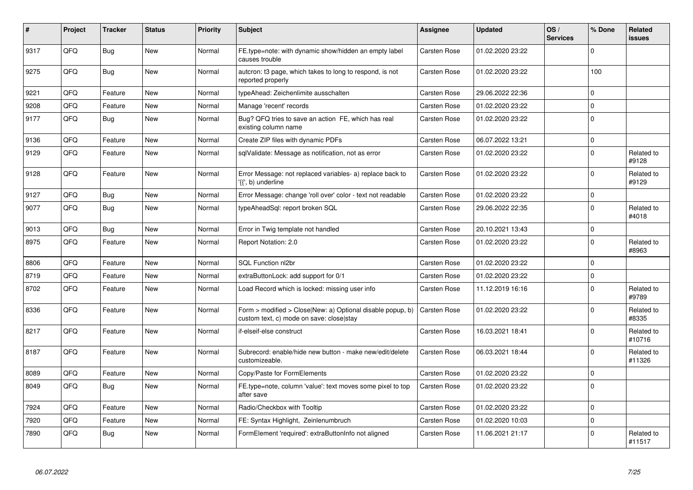| #    | <b>Project</b> | <b>Tracker</b> | <b>Status</b> | <b>Priority</b> | <b>Subject</b>                                                                                         | Assignee            | <b>Updated</b>   | OS/<br><b>Services</b> | % Done         | Related<br>issues    |
|------|----------------|----------------|---------------|-----------------|--------------------------------------------------------------------------------------------------------|---------------------|------------------|------------------------|----------------|----------------------|
| 9317 | QFQ            | Bug            | <b>New</b>    | Normal          | FE.type=note: with dynamic show/hidden an empty label<br>causes trouble                                | <b>Carsten Rose</b> | 01.02.2020 23:22 |                        | $\Omega$       |                      |
| 9275 | QFQ            | <b>Bug</b>     | <b>New</b>    | Normal          | autcron: t3 page, which takes to long to respond, is not<br>reported properly                          | <b>Carsten Rose</b> | 01.02.2020 23:22 |                        | 100            |                      |
| 9221 | QFQ            | Feature        | <b>New</b>    | Normal          | typeAhead: Zeichenlimite ausschalten                                                                   | Carsten Rose        | 29.06.2022 22:36 |                        | $\mathbf 0$    |                      |
| 9208 | QFQ            | Feature        | New           | Normal          | Manage 'recent' records                                                                                | Carsten Rose        | 01.02.2020 23:22 |                        | $\Omega$       |                      |
| 9177 | QFQ            | Bug            | <b>New</b>    | Normal          | Bug? QFQ tries to save an action FE, which has real<br>existing column name                            | Carsten Rose        | 01.02.2020 23:22 |                        | $\overline{0}$ |                      |
| 9136 | QFQ            | Feature        | New           | Normal          | Create ZIP files with dynamic PDFs                                                                     | Carsten Rose        | 06.07.2022 13:21 |                        | $\overline{0}$ |                      |
| 9129 | QFQ            | Feature        | <b>New</b>    | Normal          | sqlValidate: Message as notification, not as error                                                     | <b>Carsten Rose</b> | 01.02.2020 23:22 |                        | $\Omega$       | Related to<br>#9128  |
| 9128 | QFQ            | Feature        | <b>New</b>    | Normal          | Error Message: not replaced variables- a) replace back to<br>'{{', b) underline                        | Carsten Rose        | 01.02.2020 23:22 |                        | $\Omega$       | Related to<br>#9129  |
| 9127 | QFQ            | <b>Bug</b>     | <b>New</b>    | Normal          | Error Message: change 'roll over' color - text not readable                                            | <b>Carsten Rose</b> | 01.02.2020 23:22 |                        | $\mathbf 0$    |                      |
| 9077 | QFQ            | <b>Bug</b>     | <b>New</b>    | Normal          | typeAheadSql: report broken SQL                                                                        | Carsten Rose        | 29.06.2022 22:35 |                        | $\Omega$       | Related to<br>#4018  |
| 9013 | QFQ            | Bug            | <b>New</b>    | Normal          | Error in Twig template not handled                                                                     | <b>Carsten Rose</b> | 20.10.2021 13:43 |                        | $\mathbf 0$    |                      |
| 8975 | QFQ            | Feature        | <b>New</b>    | Normal          | Report Notation: 2.0                                                                                   | <b>Carsten Rose</b> | 01.02.2020 23:22 |                        | $\Omega$       | Related to<br>#8963  |
| 8806 | QFQ            | Feature        | <b>New</b>    | Normal          | SQL Function nl2br                                                                                     | <b>Carsten Rose</b> | 01.02.2020 23:22 |                        | $\mathbf 0$    |                      |
| 8719 | QFQ            | Feature        | <b>New</b>    | Normal          | extraButtonLock: add support for 0/1                                                                   | <b>Carsten Rose</b> | 01.02.2020 23:22 |                        | $\Omega$       |                      |
| 8702 | QFQ            | Feature        | New           | Normal          | Load Record which is locked: missing user info                                                         | <b>Carsten Rose</b> | 11.12.2019 16:16 |                        | $\mathbf 0$    | Related to<br>#9789  |
| 8336 | QFQ            | Feature        | New           | Normal          | Form > modified > Close New: a) Optional disable popup, b)<br>custom text, c) mode on save: close stay | <b>Carsten Rose</b> | 01.02.2020 23:22 |                        | $\Omega$       | Related to<br>#8335  |
| 8217 | QFQ            | Feature        | New           | Normal          | if-elseif-else construct                                                                               | Carsten Rose        | 16.03.2021 18:41 |                        | $\Omega$       | Related to<br>#10716 |
| 8187 | QFQ            | Feature        | <b>New</b>    | Normal          | Subrecord: enable/hide new button - make new/edit/delete<br>customizeable.                             | <b>Carsten Rose</b> | 06.03.2021 18:44 |                        | $\Omega$       | Related to<br>#11326 |
| 8089 | QFQ            | Feature        | <b>New</b>    | Normal          | Copy/Paste for FormElements                                                                            | Carsten Rose        | 01.02.2020 23:22 |                        | $\Omega$       |                      |
| 8049 | QFQ            | Bug            | <b>New</b>    | Normal          | FE.type=note, column 'value': text moves some pixel to top<br>after save                               | <b>Carsten Rose</b> | 01.02.2020 23:22 |                        | 0              |                      |
| 7924 | QFQ            | Feature        | New           | Normal          | Radio/Checkbox with Tooltip                                                                            | Carsten Rose        | 01.02.2020 23:22 |                        | 0              |                      |
| 7920 | QFQ            | Feature        | New           | Normal          | FE: Syntax Highlight, Zeinlenumbruch                                                                   | <b>Carsten Rose</b> | 01.02.2020 10:03 |                        | $\overline{0}$ |                      |
| 7890 | QFQ            | Bug            | New           | Normal          | FormElement 'required': extraButtonInfo not aligned                                                    | Carsten Rose        | 11.06.2021 21:17 |                        | $\Omega$       | Related to<br>#11517 |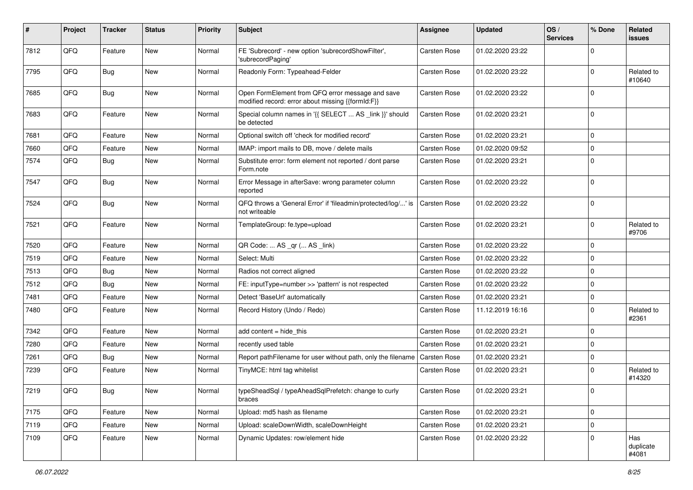| #    | Project | <b>Tracker</b> | <b>Status</b> | <b>Priority</b> | Subject                                                                                               | <b>Assignee</b>     | <b>Updated</b>   | OS/<br><b>Services</b> | % Done              | Related<br>issues         |
|------|---------|----------------|---------------|-----------------|-------------------------------------------------------------------------------------------------------|---------------------|------------------|------------------------|---------------------|---------------------------|
| 7812 | QFQ     | Feature        | New           | Normal          | FE 'Subrecord' - new option 'subrecordShowFilter',<br>'subrecordPaging'                               | <b>Carsten Rose</b> | 01.02.2020 23:22 |                        | $\mathbf 0$         |                           |
| 7795 | QFQ     | Bug            | New           | Normal          | Readonly Form: Typeahead-Felder                                                                       | <b>Carsten Rose</b> | 01.02.2020 23:22 |                        | $\mathbf 0$         | Related to<br>#10640      |
| 7685 | QFQ     | Bug            | New           | Normal          | Open FormElement from QFQ error message and save<br>modified record: error about missing {{formId:F}} | <b>Carsten Rose</b> | 01.02.2020 23:22 |                        | $\mathbf 0$         |                           |
| 7683 | QFQ     | Feature        | New           | Normal          | Special column names in '{{ SELECT  AS _link }}' should<br>be detected                                | <b>Carsten Rose</b> | 01.02.2020 23:21 |                        | $\mathbf 0$         |                           |
| 7681 | QFQ     | Feature        | <b>New</b>    | Normal          | Optional switch off 'check for modified record'                                                       | <b>Carsten Rose</b> | 01.02.2020 23:21 |                        | $\mathbf 0$         |                           |
| 7660 | QFQ     | Feature        | New           | Normal          | IMAP: import mails to DB, move / delete mails                                                         | Carsten Rose        | 01.02.2020 09:52 |                        | $\mathbf 0$         |                           |
| 7574 | QFQ     | <b>Bug</b>     | New           | Normal          | Substitute error: form element not reported / dont parse<br>Form.note                                 | <b>Carsten Rose</b> | 01.02.2020 23:21 |                        | $\mathbf 0$         |                           |
| 7547 | QFQ     | Bug            | New           | Normal          | Error Message in afterSave: wrong parameter column<br>reported                                        | <b>Carsten Rose</b> | 01.02.2020 23:22 |                        | $\mathbf 0$         |                           |
| 7524 | QFQ     | <b>Bug</b>     | New           | Normal          | QFQ throws a 'General Error' if 'fileadmin/protected/log/' is<br>not writeable                        | <b>Carsten Rose</b> | 01.02.2020 23:22 |                        | 0                   |                           |
| 7521 | QFQ     | Feature        | New           | Normal          | TemplateGroup: fe.type=upload                                                                         | <b>Carsten Rose</b> | 01.02.2020 23:21 |                        | $\mathbf 0$         | Related to<br>#9706       |
| 7520 | QFQ     | Feature        | New           | Normal          | QR Code:  AS _qr ( AS _link)                                                                          | Carsten Rose        | 01.02.2020 23:22 |                        | $\mathbf 0$         |                           |
| 7519 | QFQ     | Feature        | <b>New</b>    | Normal          | Select: Multi                                                                                         | <b>Carsten Rose</b> | 01.02.2020 23:22 |                        | $\mathbf 0$         |                           |
| 7513 | QFQ     | <b>Bug</b>     | New           | Normal          | Radios not correct aligned                                                                            | <b>Carsten Rose</b> | 01.02.2020 23:22 |                        | $\mathbf 0$         |                           |
| 7512 | QFQ     | <b>Bug</b>     | New           | Normal          | FE: inputType=number >> 'pattern' is not respected                                                    | Carsten Rose        | 01.02.2020 23:22 |                        | $\mathbf 0$         |                           |
| 7481 | QFQ     | Feature        | New           | Normal          | Detect 'BaseUrl' automatically                                                                        | <b>Carsten Rose</b> | 01.02.2020 23:21 |                        | 0                   |                           |
| 7480 | QFQ     | Feature        | New           | Normal          | Record History (Undo / Redo)                                                                          | <b>Carsten Rose</b> | 11.12.2019 16:16 |                        | $\mathbf 0$         | Related to<br>#2361       |
| 7342 | QFQ     | Feature        | New           | Normal          | add content $=$ hide this                                                                             | <b>Carsten Rose</b> | 01.02.2020 23:21 |                        | $\mathbf 0$         |                           |
| 7280 | QFQ     | Feature        | New           | Normal          | recently used table                                                                                   | Carsten Rose        | 01.02.2020 23:21 |                        | $\mathbf 0$         |                           |
| 7261 | QFQ     | Bug            | New           | Normal          | Report pathFilename for user without path, only the filename                                          | <b>Carsten Rose</b> | 01.02.2020 23:21 |                        | $\mathbf 0$         |                           |
| 7239 | QFQ     | Feature        | New           | Normal          | TinyMCE: html tag whitelist                                                                           | Carsten Rose        | 01.02.2020 23:21 |                        | $\Omega$            | Related to<br>#14320      |
| 7219 | QFQ     | Bug            | New           | Normal          | typeSheadSql / typeAheadSqlPrefetch: change to curly<br>braces                                        | Carsten Rose        | 01.02.2020 23:21 |                        | $\Omega$            |                           |
| 7175 | QFQ     | Feature        | New           | Normal          | Upload: md5 hash as filename                                                                          | Carsten Rose        | 01.02.2020 23:21 |                        | $\mathsf{O}\xspace$ |                           |
| 7119 | QFQ     | Feature        | New           | Normal          | Upload: scaleDownWidth, scaleDownHeight                                                               | Carsten Rose        | 01.02.2020 23:21 |                        | $\mathbf 0$         |                           |
| 7109 | QFQ     | Feature        | New           | Normal          | Dynamic Updates: row/element hide                                                                     | Carsten Rose        | 01.02.2020 23:22 |                        | $\mathbf 0$         | Has<br>duplicate<br>#4081 |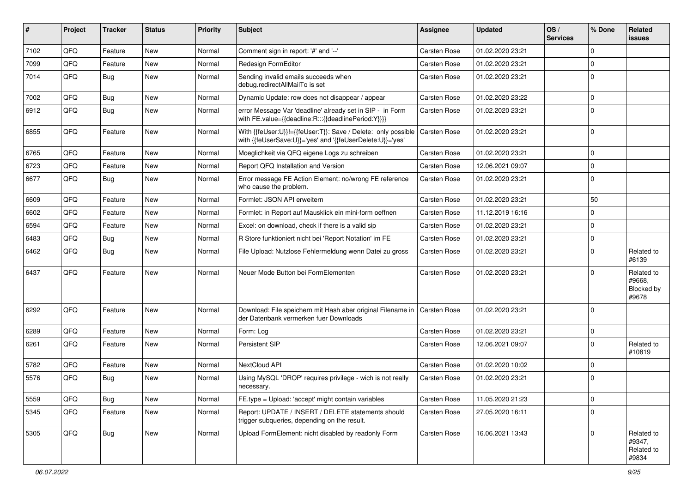| #    | Project | <b>Tracker</b> | <b>Status</b> | <b>Priority</b> | Subject                                                                                                                    | Assignee            | <b>Updated</b>   | OS/<br><b>Services</b> | % Done      | Related<br>issues                           |
|------|---------|----------------|---------------|-----------------|----------------------------------------------------------------------------------------------------------------------------|---------------------|------------------|------------------------|-------------|---------------------------------------------|
| 7102 | QFQ     | Feature        | New           | Normal          | Comment sign in report: '#' and '--'                                                                                       | Carsten Rose        | 01.02.2020 23:21 |                        | $\Omega$    |                                             |
| 7099 | QFQ     | Feature        | New           | Normal          | Redesign FormEditor                                                                                                        | <b>Carsten Rose</b> | 01.02.2020 23:21 |                        | $\mathbf 0$ |                                             |
| 7014 | QFQ     | <b>Bug</b>     | New           | Normal          | Sending invalid emails succeeds when<br>debug.redirectAllMailTo is set                                                     | Carsten Rose        | 01.02.2020 23:21 |                        | $\mathbf 0$ |                                             |
| 7002 | QFQ     | Bug            | New           | Normal          | Dynamic Update: row does not disappear / appear                                                                            | Carsten Rose        | 01.02.2020 23:22 |                        | $\Omega$    |                                             |
| 6912 | QFQ     | <b>Bug</b>     | New           | Normal          | error Message Var 'deadline' already set in SIP - in Form<br>with FE.value={{deadline:R:::{{deadlinePeriod:Y}}}}           | <b>Carsten Rose</b> | 01.02.2020 23:21 |                        | $\Omega$    |                                             |
| 6855 | QFQ     | Feature        | New           | Normal          | With {{feUser:U}}!={{feUser:T}}: Save / Delete: only possible<br>with {{feUserSave:U}}='yes' and '{{feUserDelete:U}}='yes' | <b>Carsten Rose</b> | 01.02.2020 23:21 |                        | $\Omega$    |                                             |
| 6765 | QFQ     | Feature        | New           | Normal          | Moeglichkeit via QFQ eigene Logs zu schreiben                                                                              | Carsten Rose        | 01.02.2020 23:21 |                        | $\mathbf 0$ |                                             |
| 6723 | QFQ     | Feature        | New           | Normal          | Report QFQ Installation and Version                                                                                        | Carsten Rose        | 12.06.2021 09:07 |                        | $\Omega$    |                                             |
| 6677 | QFQ     | Bug            | New           | Normal          | Error message FE Action Element: no/wrong FE reference<br>who cause the problem.                                           | <b>Carsten Rose</b> | 01.02.2020 23:21 |                        | $\Omega$    |                                             |
| 6609 | QFQ     | Feature        | New           | Normal          | Formlet: JSON API erweitern                                                                                                | Carsten Rose        | 01.02.2020 23:21 |                        | 50          |                                             |
| 6602 | QFQ     | Feature        | New           | Normal          | Formlet: in Report auf Mausklick ein mini-form oeffnen                                                                     | Carsten Rose        | 11.12.2019 16:16 |                        | $\Omega$    |                                             |
| 6594 | QFQ     | Feature        | New           | Normal          | Excel: on download, check if there is a valid sip                                                                          | Carsten Rose        | 01.02.2020 23:21 |                        | $\Omega$    |                                             |
| 6483 | QFQ     | Bug            | New           | Normal          | R Store funktioniert nicht bei 'Report Notation' im FE                                                                     | Carsten Rose        | 01.02.2020 23:21 |                        | $\mathbf 0$ |                                             |
| 6462 | QFQ     | Bug            | New           | Normal          | File Upload: Nutzlose Fehlermeldung wenn Datei zu gross                                                                    | <b>Carsten Rose</b> | 01.02.2020 23:21 |                        | $\Omega$    | Related to<br>#6139                         |
| 6437 | QFQ     | Feature        | New           | Normal          | Neuer Mode Button bei FormElementen                                                                                        | <b>Carsten Rose</b> | 01.02.2020 23:21 |                        | $\Omega$    | Related to<br>#9668,<br>Blocked by<br>#9678 |
| 6292 | QFQ     | Feature        | New           | Normal          | Download: File speichern mit Hash aber original Filename in<br>der Datenbank vermerken fuer Downloads                      | <b>Carsten Rose</b> | 01.02.2020 23:21 |                        | $\Omega$    |                                             |
| 6289 | QFQ     | Feature        | New           | Normal          | Form: Log                                                                                                                  | Carsten Rose        | 01.02.2020 23:21 |                        | $\mathbf 0$ |                                             |
| 6261 | QFQ     | Feature        | New           | Normal          | Persistent SIP                                                                                                             | Carsten Rose        | 12.06.2021 09:07 |                        | $\Omega$    | Related to<br>#10819                        |
| 5782 | QFQ     | Feature        | New           | Normal          | NextCloud API                                                                                                              | Carsten Rose        | 01.02.2020 10:02 |                        | $\Omega$    |                                             |
| 5576 | QFQ     | Bug            | New           | Normal          | Using MySQL 'DROP' requires privilege - wich is not really<br>necessary.                                                   | <b>Carsten Rose</b> | 01.02.2020 23:21 |                        | l 0         |                                             |
| 5559 | QFQ     | <b>Bug</b>     | New           | Normal          | FE.type = Upload: 'accept' might contain variables                                                                         | Carsten Rose        | 11.05.2020 21:23 |                        | 0           |                                             |
| 5345 | QFQ     | Feature        | New           | Normal          | Report: UPDATE / INSERT / DELETE statements should<br>trigger subqueries, depending on the result.                         | Carsten Rose        | 27.05.2020 16:11 |                        | 0           |                                             |
| 5305 | QFQ     | <b>Bug</b>     | New           | Normal          | Upload FormElement: nicht disabled by readonly Form                                                                        | <b>Carsten Rose</b> | 16.06.2021 13:43 |                        | $\Omega$    | Related to<br>#9347,<br>Related to<br>#9834 |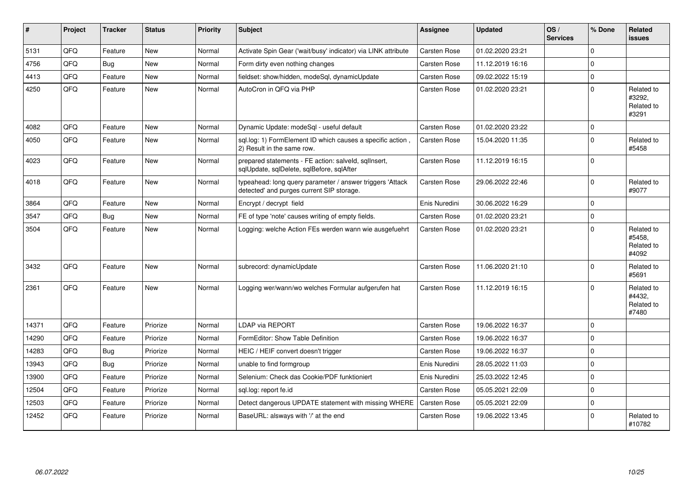| #     | Project | <b>Tracker</b> | <b>Status</b> | <b>Priority</b> | <b>Subject</b>                                                                                         | <b>Assignee</b>     | <b>Updated</b>   | OS/<br><b>Services</b> | % Done      | Related<br><b>issues</b>                    |
|-------|---------|----------------|---------------|-----------------|--------------------------------------------------------------------------------------------------------|---------------------|------------------|------------------------|-------------|---------------------------------------------|
| 5131  | QFQ     | Feature        | <b>New</b>    | Normal          | Activate Spin Gear ('wait/busy' indicator) via LINK attribute                                          | Carsten Rose        | 01.02.2020 23:21 |                        | $\Omega$    |                                             |
| 4756  | QFQ     | Bug            | <b>New</b>    | Normal          | Form dirty even nothing changes                                                                        | Carsten Rose        | 11.12.2019 16:16 |                        | $\Omega$    |                                             |
| 4413  | QFQ     | Feature        | <b>New</b>    | Normal          | fieldset: show/hidden, modeSql, dynamicUpdate                                                          | Carsten Rose        | 09.02.2022 15:19 |                        | 0           |                                             |
| 4250  | QFQ     | Feature        | New           | Normal          | AutoCron in QFQ via PHP                                                                                | Carsten Rose        | 01.02.2020 23:21 |                        | $\Omega$    | Related to<br>#3292.<br>Related to<br>#3291 |
| 4082  | QFQ     | Feature        | <b>New</b>    | Normal          | Dynamic Update: modeSql - useful default                                                               | Carsten Rose        | 01.02.2020 23:22 |                        | $\mathbf 0$ |                                             |
| 4050  | QFQ     | Feature        | <b>New</b>    | Normal          | sql.log: 1) FormElement ID which causes a specific action,<br>2) Result in the same row.               | Carsten Rose        | 15.04.2020 11:35 |                        | $\mathbf 0$ | Related to<br>#5458                         |
| 4023  | QFQ     | Feature        | New           | Normal          | prepared statements - FE action: salveld, sqllnsert,<br>sqlUpdate, sqlDelete, sqlBefore, sqlAfter      | Carsten Rose        | 11.12.2019 16:15 |                        | $\Omega$    |                                             |
| 4018  | QFQ     | Feature        | <b>New</b>    | Normal          | typeahead: long query parameter / answer triggers 'Attack<br>detected' and purges current SIP storage. | Carsten Rose        | 29.06.2022 22:46 |                        | $\Omega$    | Related to<br>#9077                         |
| 3864  | QFQ     | Feature        | <b>New</b>    | Normal          | Encrypt / decrypt field                                                                                | Enis Nuredini       | 30.06.2022 16:29 |                        | $\Omega$    |                                             |
| 3547  | QFQ     | <b>Bug</b>     | <b>New</b>    | Normal          | FE of type 'note' causes writing of empty fields.                                                      | Carsten Rose        | 01.02.2020 23:21 |                        | $\mathbf 0$ |                                             |
| 3504  | QFQ     | Feature        | <b>New</b>    | Normal          | Logging: welche Action FEs werden wann wie ausgefuehrt                                                 | Carsten Rose        | 01.02.2020 23:21 |                        | $\Omega$    | Related to<br>#5458,<br>Related to<br>#4092 |
| 3432  | QFQ     | Feature        | <b>New</b>    | Normal          | subrecord: dynamicUpdate                                                                               | <b>Carsten Rose</b> | 11.06.2020 21:10 |                        | $\Omega$    | Related to<br>#5691                         |
| 2361  | QFQ     | Feature        | <b>New</b>    | Normal          | Logging wer/wann/wo welches Formular aufgerufen hat                                                    | <b>Carsten Rose</b> | 11.12.2019 16:15 |                        | $\Omega$    | Related to<br>#4432,<br>Related to<br>#7480 |
| 14371 | QFQ     | Feature        | Priorize      | Normal          | <b>LDAP via REPORT</b>                                                                                 | Carsten Rose        | 19.06.2022 16:37 |                        | $\Omega$    |                                             |
| 14290 | QFQ     | Feature        | Priorize      | Normal          | FormEditor: Show Table Definition                                                                      | Carsten Rose        | 19.06.2022 16:37 |                        | $\Omega$    |                                             |
| 14283 | QFQ     | Bug            | Priorize      | Normal          | HEIC / HEIF convert doesn't trigger                                                                    | Carsten Rose        | 19.06.2022 16:37 |                        | $\Omega$    |                                             |
| 13943 | QFQ     | Bug            | Priorize      | Normal          | unable to find formgroup                                                                               | Enis Nuredini       | 28.05.2022 11:03 |                        | $\Omega$    |                                             |
| 13900 | QFQ     | Feature        | Priorize      | Normal          | Selenium: Check das Cookie/PDF funktioniert                                                            | Enis Nuredini       | 25.03.2022 12:45 |                        | $\Omega$    |                                             |
| 12504 | QFQ     | Feature        | Priorize      | Normal          | sgl.log: report fe.id                                                                                  | Carsten Rose        | 05.05.2021 22:09 |                        | $\mathbf 0$ |                                             |
| 12503 | QFQ     | Feature        | Priorize      | Normal          | Detect dangerous UPDATE statement with missing WHERE                                                   | Carsten Rose        | 05.05.2021 22:09 |                        | $\mathbf 0$ |                                             |
| 12452 | QFQ     | Feature        | Priorize      | Normal          | BaseURL: alsways with '/' at the end                                                                   | Carsten Rose        | 19.06.2022 13:45 |                        | $\mathbf 0$ | Related to<br>#10782                        |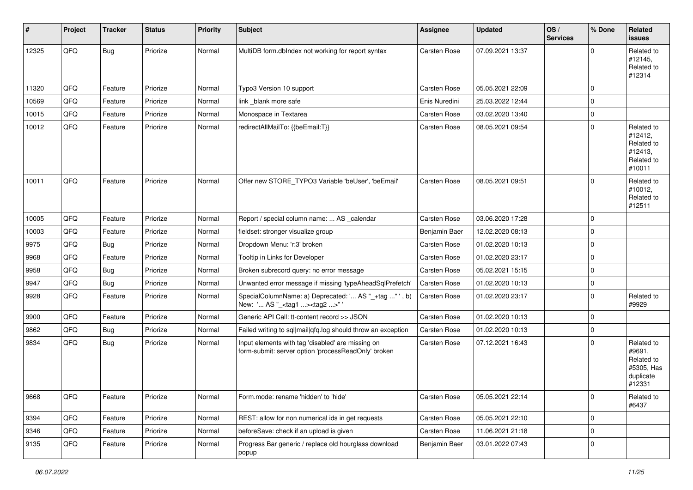| #     | Project | <b>Tracker</b> | <b>Status</b> | <b>Priority</b> | Subject                                                                                                  | <b>Assignee</b> | <b>Updated</b>   | OS/<br><b>Services</b> | % Done      | Related<br>issues                                                       |
|-------|---------|----------------|---------------|-----------------|----------------------------------------------------------------------------------------------------------|-----------------|------------------|------------------------|-------------|-------------------------------------------------------------------------|
| 12325 | QFQ     | <b>Bug</b>     | Priorize      | Normal          | MultiDB form.dblndex not working for report syntax                                                       | Carsten Rose    | 07.09.2021 13:37 |                        | $\Omega$    | Related to<br>#12145,<br>Related to<br>#12314                           |
| 11320 | QFQ     | Feature        | Priorize      | Normal          | Typo3 Version 10 support                                                                                 | Carsten Rose    | 05.05.2021 22:09 |                        | $\Omega$    |                                                                         |
| 10569 | QFQ     | Feature        | Priorize      | Normal          | link blank more safe                                                                                     | Enis Nuredini   | 25.03.2022 12:44 |                        | $\mathbf 0$ |                                                                         |
| 10015 | QFQ     | Feature        | Priorize      | Normal          | Monospace in Textarea                                                                                    | Carsten Rose    | 03.02.2020 13:40 |                        | $\mathbf 0$ |                                                                         |
| 10012 | QFQ     | Feature        | Priorize      | Normal          | redirectAllMailTo: {{beEmail:T}}                                                                         | Carsten Rose    | 08.05.2021 09:54 |                        | $\Omega$    | Related to<br>#12412,<br>Related to<br>#12413,<br>Related to<br>#10011  |
| 10011 | QFQ     | Feature        | Priorize      | Normal          | Offer new STORE_TYPO3 Variable 'beUser', 'beEmail'                                                       | Carsten Rose    | 08.05.2021 09:51 |                        | $\Omega$    | Related to<br>#10012,<br>Related to<br>#12511                           |
| 10005 | QFQ     | Feature        | Priorize      | Normal          | Report / special column name:  AS _calendar                                                              | Carsten Rose    | 03.06.2020 17:28 |                        | $\mathbf 0$ |                                                                         |
| 10003 | QFQ     | Feature        | Priorize      | Normal          | fieldset: stronger visualize group                                                                       | Benjamin Baer   | 12.02.2020 08:13 |                        | $\mathbf 0$ |                                                                         |
| 9975  | QFQ     | Bug            | Priorize      | Normal          | Dropdown Menu: 'r:3' broken                                                                              | Carsten Rose    | 01.02.2020 10:13 |                        | $\mathbf 0$ |                                                                         |
| 9968  | QFQ     | Feature        | Priorize      | Normal          | Tooltip in Links for Developer                                                                           | Carsten Rose    | 01.02.2020 23:17 |                        | $\mathbf 0$ |                                                                         |
| 9958  | QFQ     | Bug            | Priorize      | Normal          | Broken subrecord query: no error message                                                                 | Carsten Rose    | 05.02.2021 15:15 |                        | $\mathbf 0$ |                                                                         |
| 9947  | QFQ     | Bug            | Priorize      | Normal          | Unwanted error message if missing 'typeAheadSqlPrefetch'                                                 | Carsten Rose    | 01.02.2020 10:13 |                        | $\mathbf 0$ |                                                                         |
| 9928  | QFQ     | Feature        | Priorize      | Normal          | SpecialColumnName: a) Deprecated: ' AS "_+tag " ', b)<br>New: ' AS "_ <tag1><tag2>"</tag2></tag1>        | Carsten Rose    | 01.02.2020 23:17 |                        | $\mathbf 0$ | Related to<br>#9929                                                     |
| 9900  | QFQ     | Feature        | Priorize      | Normal          | Generic API Call: tt-content record >> JSON                                                              | Carsten Rose    | 01.02.2020 10:13 |                        | $\mathbf 0$ |                                                                         |
| 9862  | QFQ     | Bug            | Priorize      | Normal          | Failed writing to sql mail qfq.log should throw an exception                                             | Carsten Rose    | 01.02.2020 10:13 |                        | $\mathbf 0$ |                                                                         |
| 9834  | QFQ     | Bug            | Priorize      | Normal          | Input elements with tag 'disabled' are missing on<br>form-submit: server option 'processReadOnly' broken | Carsten Rose    | 07.12.2021 16:43 |                        | $\mathbf 0$ | Related to<br>#9691,<br>Related to<br>#5305, Has<br>duplicate<br>#12331 |
| 9668  | QFQ     | Feature        | Priorize      | Normal          | Form.mode: rename 'hidden' to 'hide'                                                                     | Carsten Rose    | 05.05.2021 22:14 |                        | 0           | Related to<br>#6437                                                     |
| 9394  | QFQ     | Feature        | Priorize      | Normal          | REST: allow for non numerical ids in get requests                                                        | Carsten Rose    | 05.05.2021 22:10 |                        | $\mathbf 0$ |                                                                         |
| 9346  | QFQ     | Feature        | Priorize      | Normal          | beforeSave: check if an upload is given                                                                  | Carsten Rose    | 11.06.2021 21:18 |                        | 0           |                                                                         |
| 9135  | QFQ     | Feature        | Priorize      | Normal          | Progress Bar generic / replace old hourglass download<br>popup                                           | Benjamin Baer   | 03.01.2022 07:43 |                        | 0           |                                                                         |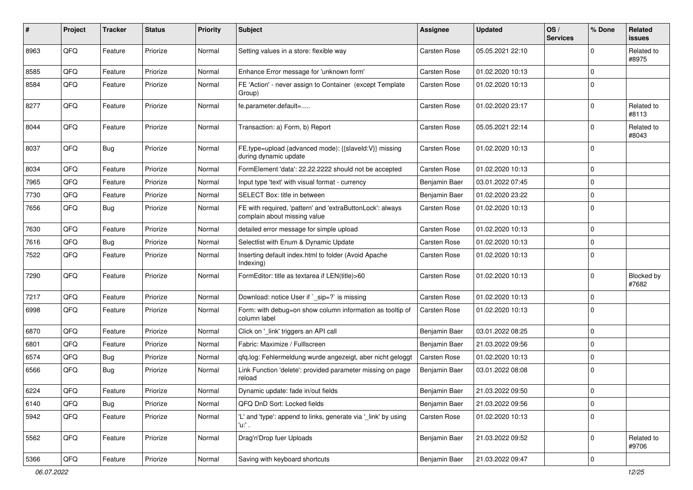| #    | Project | <b>Tracker</b> | <b>Status</b> | <b>Priority</b> | Subject                                                                                   | Assignee            | <b>Updated</b>   | OS/<br><b>Services</b> | % Done       | Related<br>issues   |
|------|---------|----------------|---------------|-----------------|-------------------------------------------------------------------------------------------|---------------------|------------------|------------------------|--------------|---------------------|
| 8963 | QFQ     | Feature        | Priorize      | Normal          | Setting values in a store: flexible way                                                   | Carsten Rose        | 05.05.2021 22:10 |                        | <sup>0</sup> | Related to<br>#8975 |
| 8585 | QFQ     | Feature        | Priorize      | Normal          | Enhance Error message for 'unknown form'                                                  | Carsten Rose        | 01.02.2020 10:13 |                        | $\Omega$     |                     |
| 8584 | QFQ     | Feature        | Priorize      | Normal          | FE 'Action' - never assign to Container (except Template<br>Group)                        | Carsten Rose        | 01.02.2020 10:13 |                        | $\Omega$     |                     |
| 8277 | QFQ     | Feature        | Priorize      | Normal          | fe.parameter.default=                                                                     | Carsten Rose        | 01.02.2020 23:17 |                        | $\Omega$     | Related to<br>#8113 |
| 8044 | QFQ     | Feature        | Priorize      | Normal          | Transaction: a) Form, b) Report                                                           | Carsten Rose        | 05.05.2021 22:14 |                        | 0            | Related to<br>#8043 |
| 8037 | QFQ     | Bug            | Priorize      | Normal          | FE.type=upload (advanced mode): {{slaveld:V}} missing<br>during dynamic update            | Carsten Rose        | 01.02.2020 10:13 |                        | $\Omega$     |                     |
| 8034 | QFQ     | Feature        | Priorize      | Normal          | FormElement 'data': 22.22.2222 should not be accepted                                     | Carsten Rose        | 01.02.2020 10:13 |                        | 0            |                     |
| 7965 | QFQ     | Feature        | Priorize      | Normal          | Input type 'text' with visual format - currency                                           | Benjamin Baer       | 03.01.2022 07:45 |                        | $\Omega$     |                     |
| 7730 | QFQ     | Feature        | Priorize      | Normal          | SELECT Box: title in between                                                              | Benjamin Baer       | 01.02.2020 23:22 |                        | $\mathbf 0$  |                     |
| 7656 | QFQ     | Bug            | Priorize      | Normal          | FE with required, 'pattern' and 'extraButtonLock': always<br>complain about missing value | <b>Carsten Rose</b> | 01.02.2020 10:13 |                        | $\mathbf 0$  |                     |
| 7630 | QFQ     | Feature        | Priorize      | Normal          | detailed error message for simple upload                                                  | Carsten Rose        | 01.02.2020 10:13 |                        | 0            |                     |
| 7616 | QFQ     | Bug            | Priorize      | Normal          | Selectlist with Enum & Dynamic Update                                                     | Carsten Rose        | 01.02.2020 10:13 |                        | 0            |                     |
| 7522 | QFQ     | Feature        | Priorize      | Normal          | Inserting default index.html to folder (Avoid Apache<br>Indexing)                         | Carsten Rose        | 01.02.2020 10:13 |                        | $\Omega$     |                     |
| 7290 | QFQ     | Feature        | Priorize      | Normal          | FormEditor: title as textarea if LEN(title)>60                                            | Carsten Rose        | 01.02.2020 10:13 |                        | $\Omega$     | Blocked by<br>#7682 |
| 7217 | QFQ     | Feature        | Priorize      | Normal          | Download: notice User if `_sip=?` is missing                                              | <b>Carsten Rose</b> | 01.02.2020 10:13 |                        | $\Omega$     |                     |
| 6998 | QFQ     | Feature        | Priorize      | Normal          | Form: with debug=on show column information as tooltip of<br>column label                 | <b>Carsten Rose</b> | 01.02.2020 10:13 |                        | 0            |                     |
| 6870 | QFQ     | Feature        | Priorize      | Normal          | Click on '_link' triggers an API call                                                     | Benjamin Baer       | 03.01.2022 08:25 |                        | $\mathbf 0$  |                     |
| 6801 | QFQ     | Feature        | Priorize      | Normal          | Fabric: Maximize / FullIscreen                                                            | Benjamin Baer       | 21.03.2022 09:56 |                        | $\Omega$     |                     |
| 6574 | QFQ     | Bug            | Priorize      | Normal          | qfq.log: Fehlermeldung wurde angezeigt, aber nicht geloggt                                | <b>Carsten Rose</b> | 01.02.2020 10:13 |                        | 0            |                     |
| 6566 | QFQ     | Bug            | Priorize      | Normal          | Link Function 'delete': provided parameter missing on page<br>reload                      | Benjamin Baer       | 03.01.2022 08:08 |                        | $\Omega$     |                     |
| 6224 | QFG     | Feature        | Priorize      | Normal          | Dynamic update: fade in/out fields                                                        | Benjamin Baer       | 21.03.2022 09:50 |                        | $\Omega$     |                     |
| 6140 | QFQ     | <b>Bug</b>     | Priorize      | Normal          | QFQ DnD Sort: Locked fields                                                               | Benjamin Baer       | 21.03.2022 09:56 |                        | $\mathbf 0$  |                     |
| 5942 | QFQ     | Feature        | Priorize      | Normal          | 'L' and 'type': append to links, generate via '_link' by using<br>$'u$ .                  | Carsten Rose        | 01.02.2020 10:13 |                        | 0            |                     |
| 5562 | QFQ     | Feature        | Priorize      | Normal          | Drag'n'Drop fuer Uploads                                                                  | Benjamin Baer       | 21.03.2022 09:52 |                        | $\Omega$     | Related to<br>#9706 |
| 5366 | QFQ     | Feature        | Priorize      | Normal          | Saving with keyboard shortcuts                                                            | Benjamin Baer       | 21.03.2022 09:47 |                        | 0            |                     |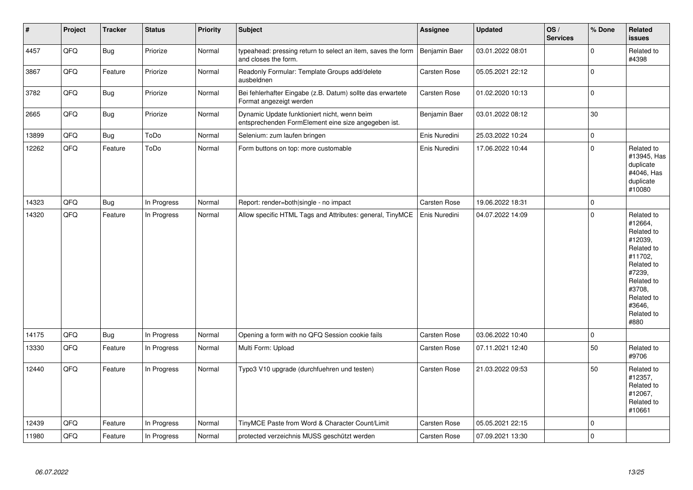| $\vert$ # | Project | <b>Tracker</b> | <b>Status</b> | <b>Priority</b> | Subject                                                                                             | <b>Assignee</b>     | <b>Updated</b>   | OS/<br><b>Services</b> | % Done         | Related<br>issues                                                                                                                                                     |
|-----------|---------|----------------|---------------|-----------------|-----------------------------------------------------------------------------------------------------|---------------------|------------------|------------------------|----------------|-----------------------------------------------------------------------------------------------------------------------------------------------------------------------|
| 4457      | QFQ     | Bug            | Priorize      | Normal          | typeahead: pressing return to select an item, saves the form<br>and closes the form.                | Benjamin Baer       | 03.01.2022 08:01 |                        | $\Omega$       | Related to<br>#4398                                                                                                                                                   |
| 3867      | QFQ     | Feature        | Priorize      | Normal          | Readonly Formular: Template Groups add/delete<br>ausbeldnen                                         | <b>Carsten Rose</b> | 05.05.2021 22:12 |                        | $\overline{0}$ |                                                                                                                                                                       |
| 3782      | QFQ     | <b>Bug</b>     | Priorize      | Normal          | Bei fehlerhafter Eingabe (z.B. Datum) sollte das erwartete<br>Format angezeigt werden               | Carsten Rose        | 01.02.2020 10:13 |                        | $\mathbf 0$    |                                                                                                                                                                       |
| 2665      | QFQ     | <b>Bug</b>     | Priorize      | Normal          | Dynamic Update funktioniert nicht, wenn beim<br>entsprechenden FormElement eine size angegeben ist. | Benjamin Baer       | 03.01.2022 08:12 |                        | $30\,$         |                                                                                                                                                                       |
| 13899     | QFQ     | Bug            | ToDo          | Normal          | Selenium: zum laufen bringen                                                                        | Enis Nuredini       | 25.03.2022 10:24 |                        | $\mathbf 0$    |                                                                                                                                                                       |
| 12262     | QFQ     | Feature        | ToDo          | Normal          | Form buttons on top: more customable                                                                | Enis Nuredini       | 17.06.2022 10:44 |                        | $\overline{0}$ | Related to<br>#13945, Has<br>duplicate<br>#4046, Has<br>duplicate<br>#10080                                                                                           |
| 14323     | QFQ     | Bug            | In Progress   | Normal          | Report: render=both single - no impact                                                              | <b>Carsten Rose</b> | 19.06.2022 18:31 |                        | 0              |                                                                                                                                                                       |
| 14320     | QFQ     | Feature        | In Progress   | Normal          | Allow specific HTML Tags and Attributes: general, TinyMCE                                           | Enis Nuredini       | 04.07.2022 14:09 |                        | $\Omega$       | Related to<br>#12664,<br>Related to<br>#12039,<br>Related to<br>#11702,<br>Related to<br>#7239,<br>Related to<br>#3708,<br>Related to<br>#3646,<br>Related to<br>#880 |
| 14175     | QFQ     | Bug            | In Progress   | Normal          | Opening a form with no QFQ Session cookie fails                                                     | Carsten Rose        | 03.06.2022 10:40 |                        | $\Omega$       |                                                                                                                                                                       |
| 13330     | QFQ     | Feature        | In Progress   | Normal          | Multi Form: Upload                                                                                  | Carsten Rose        | 07.11.2021 12:40 |                        | 50             | Related to<br>#9706                                                                                                                                                   |
| 12440     | QFQ     | Feature        | In Progress   | Normal          | Typo3 V10 upgrade (durchfuehren und testen)                                                         | Carsten Rose        | 21.03.2022 09:53 |                        | 50             | Related to<br>#12357,<br>Related to<br>#12067,<br>Related to<br>#10661                                                                                                |
| 12439     | QFQ     | Feature        | In Progress   | Normal          | TinyMCE Paste from Word & Character Count/Limit                                                     | Carsten Rose        | 05.05.2021 22:15 |                        | $\mathbf 0$    |                                                                                                                                                                       |
| 11980     | QFQ     | Feature        | In Progress   | Normal          | protected verzeichnis MUSS geschützt werden                                                         | Carsten Rose        | 07.09.2021 13:30 |                        | $\overline{0}$ |                                                                                                                                                                       |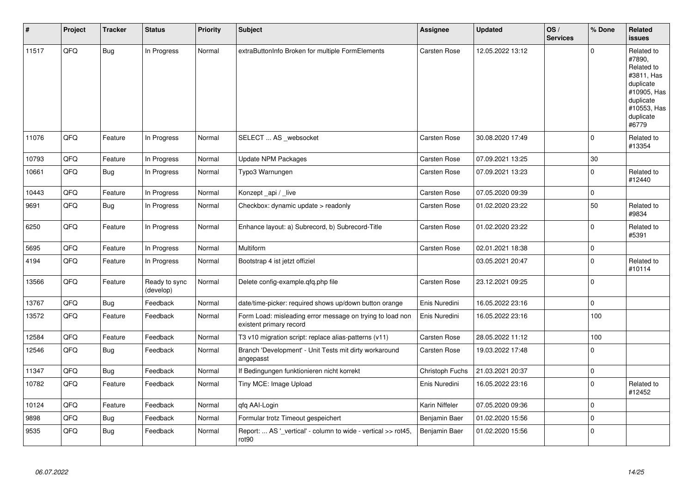| #     | Project | <b>Tracker</b> | <b>Status</b>              | <b>Priority</b> | <b>Subject</b>                                                                       | Assignee            | <b>Updated</b>   | OS/<br><b>Services</b> | % Done      | Related<br><b>issues</b>                                                                                                       |
|-------|---------|----------------|----------------------------|-----------------|--------------------------------------------------------------------------------------|---------------------|------------------|------------------------|-------------|--------------------------------------------------------------------------------------------------------------------------------|
| 11517 | QFQ     | <b>Bug</b>     | In Progress                | Normal          | extraButtonInfo Broken for multiple FormElements                                     | Carsten Rose        | 12.05.2022 13:12 |                        | $\Omega$    | Related to<br>#7890,<br>Related to<br>#3811, Has<br>duplicate<br>#10905, Has<br>duplicate<br>#10553, Has<br>duplicate<br>#6779 |
| 11076 | QFQ     | Feature        | In Progress                | Normal          | SELECT  AS _websocket                                                                | Carsten Rose        | 30.08.2020 17:49 |                        | $\Omega$    | Related to<br>#13354                                                                                                           |
| 10793 | QFQ     | Feature        | In Progress                | Normal          | <b>Update NPM Packages</b>                                                           | Carsten Rose        | 07.09.2021 13:25 |                        | 30          |                                                                                                                                |
| 10661 | QFQ     | Bug            | In Progress                | Normal          | Typo3 Warnungen                                                                      | Carsten Rose        | 07.09.2021 13:23 |                        | $\Omega$    | Related to<br>#12440                                                                                                           |
| 10443 | QFQ     | Feature        | In Progress                | Normal          | Konzept api / live                                                                   | Carsten Rose        | 07.05.2020 09:39 |                        | $\mathbf 0$ |                                                                                                                                |
| 9691  | QFQ     | Bug            | In Progress                | Normal          | Checkbox: dynamic update > readonly                                                  | Carsten Rose        | 01.02.2020 23:22 |                        | 50          | Related to<br>#9834                                                                                                            |
| 6250  | QFQ     | Feature        | In Progress                | Normal          | Enhance layout: a) Subrecord, b) Subrecord-Title                                     | Carsten Rose        | 01.02.2020 23:22 |                        | $\Omega$    | Related to<br>#5391                                                                                                            |
| 5695  | QFQ     | Feature        | In Progress                | Normal          | Multiform                                                                            | <b>Carsten Rose</b> | 02.01.2021 18:38 |                        | $\mathbf 0$ |                                                                                                                                |
| 4194  | QFQ     | Feature        | In Progress                | Normal          | Bootstrap 4 ist jetzt offiziel                                                       |                     | 03.05.2021 20:47 |                        | $\mathbf 0$ | Related to<br>#10114                                                                                                           |
| 13566 | QFQ     | Feature        | Ready to sync<br>(develop) | Normal          | Delete config-example.qfq.php file                                                   | Carsten Rose        | 23.12.2021 09:25 |                        | 0 l         |                                                                                                                                |
| 13767 | QFQ     | Bug            | Feedback                   | Normal          | date/time-picker: required shows up/down button orange                               | Enis Nuredini       | 16.05.2022 23:16 |                        | $\mathbf 0$ |                                                                                                                                |
| 13572 | QFQ     | Feature        | Feedback                   | Normal          | Form Load: misleading error message on trying to load non<br>existent primary record | Enis Nuredini       | 16.05.2022 23:16 |                        | 100         |                                                                                                                                |
| 12584 | QFQ     | Feature        | Feedback                   | Normal          | T3 v10 migration script: replace alias-patterns (v11)                                | Carsten Rose        | 28.05.2022 11:12 |                        | 100         |                                                                                                                                |
| 12546 | QFQ     | Bug            | Feedback                   | Normal          | Branch 'Development' - Unit Tests mit dirty workaround<br>angepasst                  | Carsten Rose        | 19.03.2022 17:48 |                        | $\mathbf 0$ |                                                                                                                                |
| 11347 | QFQ     | Bug            | Feedback                   | Normal          | If Bedingungen funktionieren nicht korrekt                                           | Christoph Fuchs     | 21.03.2021 20:37 |                        | $\pmb{0}$   |                                                                                                                                |
| 10782 | QFQ     | Feature        | Feedback                   | Normal          | Tiny MCE: Image Upload                                                               | Enis Nuredini       | 16.05.2022 23:16 |                        | $\mathbf 0$ | Related to<br>#12452                                                                                                           |
| 10124 | QFQ     | Feature        | Feedback                   | Normal          | qfq AAI-Login                                                                        | Karin Niffeler      | 07.05.2020 09:36 |                        | $\mathbf 0$ |                                                                                                                                |
| 9898  | QFQ     | <b>Bug</b>     | Feedback                   | Normal          | Formular trotz Timeout gespeichert                                                   | Benjamin Baer       | 01.02.2020 15:56 |                        | $\mathbf 0$ |                                                                                                                                |
| 9535  | QFQ     | Bug            | Feedback                   | Normal          | Report:  AS '_vertical' - column to wide - vertical >> rot45,<br>rot <sub>90</sub>   | Benjamin Baer       | 01.02.2020 15:56 |                        | $\mathbf 0$ |                                                                                                                                |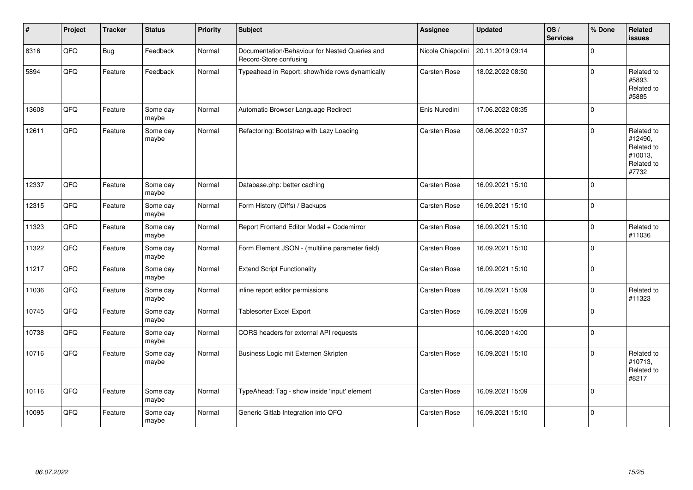| #     | Project | <b>Tracker</b> | <b>Status</b>     | Priority | Subject                                                                  | Assignee            | <b>Updated</b>   | OS/<br><b>Services</b> | % Done         | Related<br>issues                                                     |
|-------|---------|----------------|-------------------|----------|--------------------------------------------------------------------------|---------------------|------------------|------------------------|----------------|-----------------------------------------------------------------------|
| 8316  | QFQ     | <b>Bug</b>     | Feedback          | Normal   | Documentation/Behaviour for Nested Queries and<br>Record-Store confusing | Nicola Chiapolini   | 20.11.2019 09:14 |                        | $\Omega$       |                                                                       |
| 5894  | QFQ     | Feature        | Feedback          | Normal   | Typeahead in Report: show/hide rows dynamically                          | Carsten Rose        | 18.02.2022 08:50 |                        | $\Omega$       | Related to<br>#5893,<br>Related to<br>#5885                           |
| 13608 | QFQ     | Feature        | Some day<br>maybe | Normal   | Automatic Browser Language Redirect                                      | Enis Nuredini       | 17.06.2022 08:35 |                        | $\overline{0}$ |                                                                       |
| 12611 | QFQ     | Feature        | Some day<br>maybe | Normal   | Refactoring: Bootstrap with Lazy Loading                                 | <b>Carsten Rose</b> | 08.06.2022 10:37 |                        | $\Omega$       | Related to<br>#12490,<br>Related to<br>#10013,<br>Related to<br>#7732 |
| 12337 | QFQ     | Feature        | Some day<br>maybe | Normal   | Database.php: better caching                                             | Carsten Rose        | 16.09.2021 15:10 |                        | 0              |                                                                       |
| 12315 | QFQ     | Feature        | Some day<br>maybe | Normal   | Form History (Diffs) / Backups                                           | Carsten Rose        | 16.09.2021 15:10 |                        | 0              |                                                                       |
| 11323 | QFQ     | Feature        | Some day<br>maybe | Normal   | Report Frontend Editor Modal + Codemirror                                | Carsten Rose        | 16.09.2021 15:10 |                        | 0              | Related to<br>#11036                                                  |
| 11322 | QFQ     | Feature        | Some day<br>maybe | Normal   | Form Element JSON - (multiline parameter field)                          | Carsten Rose        | 16.09.2021 15:10 |                        | 0              |                                                                       |
| 11217 | QFQ     | Feature        | Some day<br>maybe | Normal   | <b>Extend Script Functionality</b>                                       | Carsten Rose        | 16.09.2021 15:10 |                        | $\overline{0}$ |                                                                       |
| 11036 | QFQ     | Feature        | Some day<br>maybe | Normal   | inline report editor permissions                                         | Carsten Rose        | 16.09.2021 15:09 |                        | $\Omega$       | Related to<br>#11323                                                  |
| 10745 | QFQ     | Feature        | Some day<br>maybe | Normal   | <b>Tablesorter Excel Export</b>                                          | <b>Carsten Rose</b> | 16.09.2021 15:09 |                        | 0              |                                                                       |
| 10738 | QFQ     | Feature        | Some day<br>maybe | Normal   | CORS headers for external API requests                                   |                     | 10.06.2020 14:00 |                        | 0              |                                                                       |
| 10716 | QFQ     | Feature        | Some day<br>maybe | Normal   | Business Logic mit Externen Skripten                                     | Carsten Rose        | 16.09.2021 15:10 |                        | $\Omega$       | Related to<br>#10713,<br>Related to<br>#8217                          |
| 10116 | QFQ     | Feature        | Some day<br>maybe | Normal   | TypeAhead: Tag - show inside 'input' element                             | <b>Carsten Rose</b> | 16.09.2021 15:09 |                        | $\Omega$       |                                                                       |
| 10095 | QFQ     | Feature        | Some day<br>maybe | Normal   | Generic Gitlab Integration into QFQ                                      | <b>Carsten Rose</b> | 16.09.2021 15:10 |                        | $\Omega$       |                                                                       |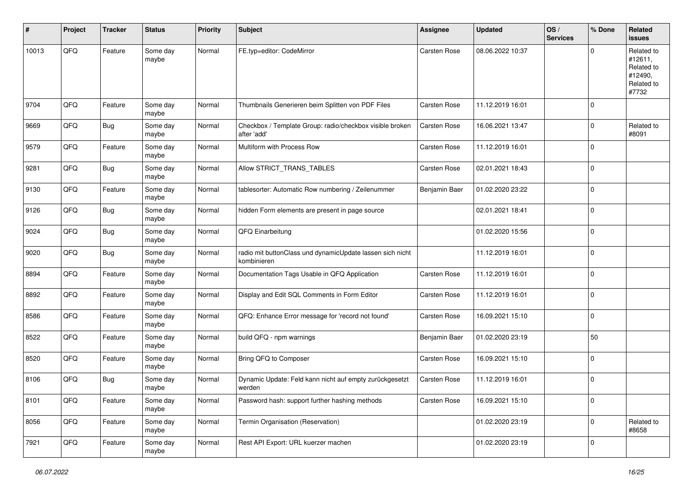| #     | Project | <b>Tracker</b> | <b>Status</b>     | <b>Priority</b> | Subject                                                                  | <b>Assignee</b> | <b>Updated</b>   | OS/<br><b>Services</b> | % Done      | Related<br>issues                                                     |
|-------|---------|----------------|-------------------|-----------------|--------------------------------------------------------------------------|-----------------|------------------|------------------------|-------------|-----------------------------------------------------------------------|
| 10013 | QFQ     | Feature        | Some day<br>maybe | Normal          | FE.typ=editor: CodeMirror                                                | Carsten Rose    | 08.06.2022 10:37 |                        | $\Omega$    | Related to<br>#12611,<br>Related to<br>#12490,<br>Related to<br>#7732 |
| 9704  | QFQ     | Feature        | Some day<br>maybe | Normal          | Thumbnails Generieren beim Splitten von PDF Files                        | Carsten Rose    | 11.12.2019 16:01 |                        | $\mathbf 0$ |                                                                       |
| 9669  | QFQ     | <b>Bug</b>     | Some day<br>maybe | Normal          | Checkbox / Template Group: radio/checkbox visible broken<br>after 'add'  | Carsten Rose    | 16.06.2021 13:47 |                        | $\mathbf 0$ | Related to<br>#8091                                                   |
| 9579  | QFQ     | Feature        | Some day<br>maybe | Normal          | Multiform with Process Row                                               | Carsten Rose    | 11.12.2019 16:01 |                        | $\mathbf 0$ |                                                                       |
| 9281  | QFQ     | <b>Bug</b>     | Some day<br>maybe | Normal          | Allow STRICT_TRANS_TABLES                                                | Carsten Rose    | 02.01.2021 18:43 |                        | $\mathbf 0$ |                                                                       |
| 9130  | QFQ     | Feature        | Some day<br>maybe | Normal          | tablesorter: Automatic Row numbering / Zeilenummer                       | Benjamin Baer   | 01.02.2020 23:22 |                        | 0           |                                                                       |
| 9126  | QFQ     | <b>Bug</b>     | Some day<br>maybe | Normal          | hidden Form elements are present in page source                          |                 | 02.01.2021 18:41 |                        | $\mathbf 0$ |                                                                       |
| 9024  | QFQ     | Bug            | Some day<br>maybe | Normal          | QFQ Einarbeitung                                                         |                 | 01.02.2020 15:56 |                        | 0           |                                                                       |
| 9020  | QFQ     | Bug            | Some day<br>maybe | Normal          | radio mit buttonClass und dynamicUpdate lassen sich nicht<br>kombinieren |                 | 11.12.2019 16:01 |                        | $\mathbf 0$ |                                                                       |
| 8894  | QFQ     | Feature        | Some day<br>maybe | Normal          | Documentation Tags Usable in QFQ Application                             | Carsten Rose    | 11.12.2019 16:01 |                        | 0           |                                                                       |
| 8892  | QFQ     | Feature        | Some day<br>maybe | Normal          | Display and Edit SQL Comments in Form Editor                             | Carsten Rose    | 11.12.2019 16:01 |                        | $\mathbf 0$ |                                                                       |
| 8586  | QFQ     | Feature        | Some day<br>maybe | Normal          | QFQ: Enhance Error message for 'record not found'                        | Carsten Rose    | 16.09.2021 15:10 |                        | 0           |                                                                       |
| 8522  | QFQ     | Feature        | Some day<br>maybe | Normal          | build QFQ - npm warnings                                                 | Benjamin Baer   | 01.02.2020 23:19 |                        | 50          |                                                                       |
| 8520  | QFQ     | Feature        | Some day<br>maybe | Normal          | Bring QFQ to Composer                                                    | Carsten Rose    | 16.09.2021 15:10 |                        | $\mathbf 0$ |                                                                       |
| 8106  | QFQ     | Bug            | Some day<br>maybe | Normal          | Dynamic Update: Feld kann nicht auf empty zurückgesetzt<br>werden        | Carsten Rose    | 11.12.2019 16:01 |                        | $\mathbf 0$ |                                                                       |
| 8101  | QFG     | Feature        | Some day<br>maybe | Normal          | Password hash: support further hashing methods                           | Carsten Rose    | 16.09.2021 15:10 |                        | 0           |                                                                       |
| 8056  | QFQ     | Feature        | Some day<br>maybe | Normal          | Termin Organisation (Reservation)                                        |                 | 01.02.2020 23:19 |                        | 0           | Related to<br>#8658                                                   |
| 7921  | QFG     | Feature        | Some day<br>maybe | Normal          | Rest API Export: URL kuerzer machen                                      |                 | 01.02.2020 23:19 |                        | 0           |                                                                       |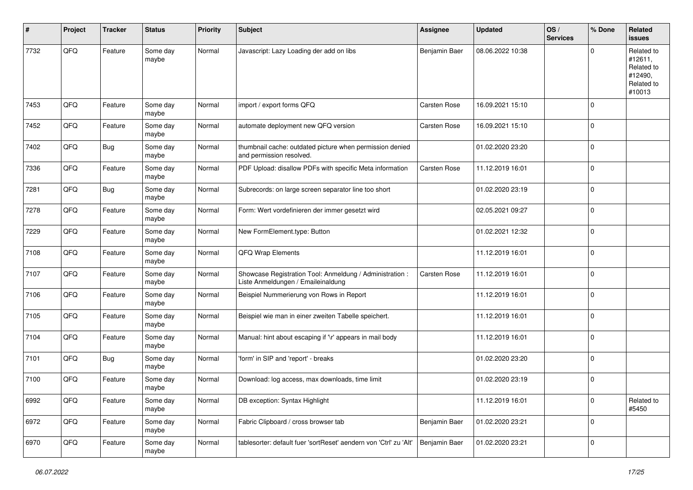| #    | Project | <b>Tracker</b> | <b>Status</b>     | <b>Priority</b> | <b>Subject</b>                                                                                 | <b>Assignee</b>     | <b>Updated</b>   | OS/<br><b>Services</b> | % Done      | Related<br><b>issues</b>                                               |
|------|---------|----------------|-------------------|-----------------|------------------------------------------------------------------------------------------------|---------------------|------------------|------------------------|-------------|------------------------------------------------------------------------|
| 7732 | QFQ     | Feature        | Some day<br>maybe | Normal          | Javascript: Lazy Loading der add on libs                                                       | Benjamin Baer       | 08.06.2022 10:38 |                        | $\Omega$    | Related to<br>#12611,<br>Related to<br>#12490,<br>Related to<br>#10013 |
| 7453 | QFQ     | Feature        | Some day<br>maybe | Normal          | import / export forms QFQ                                                                      | Carsten Rose        | 16.09.2021 15:10 |                        | $\mathbf 0$ |                                                                        |
| 7452 | QFQ     | Feature        | Some day<br>maybe | Normal          | automate deployment new QFQ version                                                            | <b>Carsten Rose</b> | 16.09.2021 15:10 |                        | 0           |                                                                        |
| 7402 | QFQ     | Bug            | Some day<br>maybe | Normal          | thumbnail cache: outdated picture when permission denied<br>and permission resolved.           |                     | 01.02.2020 23:20 |                        | $\mathbf 0$ |                                                                        |
| 7336 | QFQ     | Feature        | Some day<br>maybe | Normal          | PDF Upload: disallow PDFs with specific Meta information                                       | Carsten Rose        | 11.12.2019 16:01 |                        | 0           |                                                                        |
| 7281 | QFQ     | <b>Bug</b>     | Some day<br>maybe | Normal          | Subrecords: on large screen separator line too short                                           |                     | 01.02.2020 23:19 |                        | 0           |                                                                        |
| 7278 | QFQ     | Feature        | Some day<br>maybe | Normal          | Form: Wert vordefinieren der immer gesetzt wird                                                |                     | 02.05.2021 09:27 |                        | 0           |                                                                        |
| 7229 | QFQ     | Feature        | Some day<br>maybe | Normal          | New FormElement.type: Button                                                                   |                     | 01.02.2021 12:32 |                        | $\mathbf 0$ |                                                                        |
| 7108 | QFQ     | Feature        | Some day<br>maybe | Normal          | QFQ Wrap Elements                                                                              |                     | 11.12.2019 16:01 |                        | $\mathbf 0$ |                                                                        |
| 7107 | QFQ     | Feature        | Some day<br>maybe | Normal          | Showcase Registration Tool: Anmeldung / Administration :<br>Liste Anmeldungen / Emaileinaldung | <b>Carsten Rose</b> | 11.12.2019 16:01 |                        | $\Omega$    |                                                                        |
| 7106 | QFQ     | Feature        | Some day<br>maybe | Normal          | Beispiel Nummerierung von Rows in Report                                                       |                     | 11.12.2019 16:01 |                        | $\mathbf 0$ |                                                                        |
| 7105 | QFQ     | Feature        | Some day<br>maybe | Normal          | Beispiel wie man in einer zweiten Tabelle speichert.                                           |                     | 11.12.2019 16:01 |                        | 0           |                                                                        |
| 7104 | QFQ     | Feature        | Some day<br>maybe | Normal          | Manual: hint about escaping if '\r' appears in mail body                                       |                     | 11.12.2019 16:01 |                        | 0           |                                                                        |
| 7101 | QFQ     | <b>Bug</b>     | Some day<br>maybe | Normal          | 'form' in SIP and 'report' - breaks                                                            |                     | 01.02.2020 23:20 |                        | 0           |                                                                        |
| 7100 | QFQ     | Feature        | Some day<br>maybe | Normal          | Download: log access, max downloads, time limit                                                |                     | 01.02.2020 23:19 |                        | $\mathbf 0$ |                                                                        |
| 6992 | QFG     | Feature        | Some day<br>maybe | Normal          | DB exception: Syntax Highlight                                                                 |                     | 11.12.2019 16:01 |                        | 0           | Related to<br>#5450                                                    |
| 6972 | QFG     | Feature        | Some day<br>maybe | Normal          | Fabric Clipboard / cross browser tab                                                           | Benjamin Baer       | 01.02.2020 23:21 |                        | 0           |                                                                        |
| 6970 | QFQ     | Feature        | Some day<br>maybe | Normal          | tablesorter: default fuer 'sortReset' aendern von 'Ctrl' zu 'Alt'                              | Benjamin Baer       | 01.02.2020 23:21 |                        | 0           |                                                                        |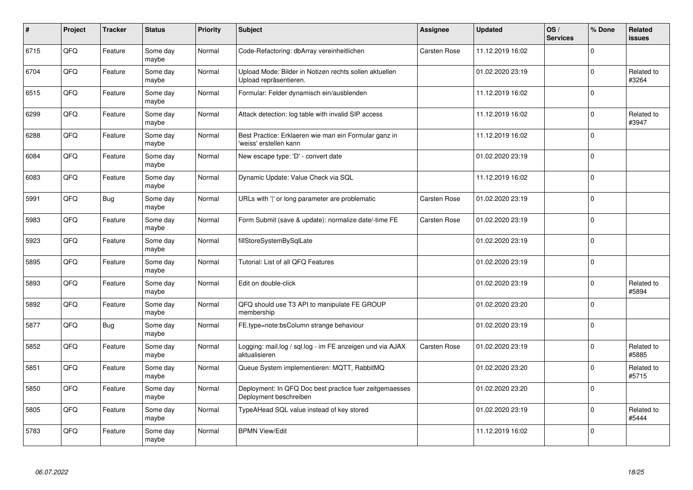| $\pmb{\#}$ | Project    | <b>Tracker</b> | <b>Status</b>     | <b>Priority</b> | <b>Subject</b>                                                                    | <b>Assignee</b> | <b>Updated</b>   | OS/<br><b>Services</b> | % Done         | Related<br>issues   |
|------------|------------|----------------|-------------------|-----------------|-----------------------------------------------------------------------------------|-----------------|------------------|------------------------|----------------|---------------------|
| 6715       | QFQ        | Feature        | Some day<br>maybe | Normal          | Code-Refactoring: dbArray vereinheitlichen                                        | Carsten Rose    | 11.12.2019 16:02 |                        | $\mathbf 0$    |                     |
| 6704       | QFQ        | Feature        | Some day<br>maybe | Normal          | Upload Mode: Bilder in Notizen rechts sollen aktuellen<br>Upload repräsentieren.  |                 | 01.02.2020 23:19 |                        | $\mathbf 0$    | Related to<br>#3264 |
| 6515       | QFQ        | Feature        | Some day<br>maybe | Normal          | Formular: Felder dynamisch ein/ausblenden                                         |                 | 11.12.2019 16:02 |                        | $\mathbf 0$    |                     |
| 6299       | QFQ        | Feature        | Some day<br>maybe | Normal          | Attack detection: log table with invalid SIP access                               |                 | 11.12.2019 16:02 |                        | $\Omega$       | Related to<br>#3947 |
| 6288       | QFQ        | Feature        | Some day<br>maybe | Normal          | Best Practice: Erklaeren wie man ein Formular ganz in<br>'weiss' erstellen kann   |                 | 11.12.2019 16:02 |                        | $\mathbf 0$    |                     |
| 6084       | <b>OFO</b> | Feature        | Some day<br>maybe | Normal          | New escape type: 'D' - convert date                                               |                 | 01.02.2020 23:19 |                        | $\pmb{0}$      |                     |
| 6083       | QFQ        | Feature        | Some day<br>maybe | Normal          | Dynamic Update: Value Check via SQL                                               |                 | 11.12.2019 16:02 |                        | $\mathbf 0$    |                     |
| 5991       | QFQ        | <b>Bug</b>     | Some day<br>maybe | Normal          | URLs with 'I' or long parameter are problematic                                   | Carsten Rose    | 01.02.2020 23:19 |                        | $\Omega$       |                     |
| 5983       | QFQ        | Feature        | Some day<br>maybe | Normal          | Form Submit (save & update): normalize date/-time FE                              | Carsten Rose    | 01.02.2020 23:19 |                        | $\Omega$       |                     |
| 5923       | QFQ        | Feature        | Some day<br>maybe | Normal          | fillStoreSystemBySqlLate                                                          |                 | 01.02.2020 23:19 |                        | $\mathbf 0$    |                     |
| 5895       | QFQ        | Feature        | Some day<br>maybe | Normal          | Tutorial: List of all QFQ Features                                                |                 | 01.02.2020 23:19 |                        | $\mathbf 0$    |                     |
| 5893       | QFQ        | Feature        | Some day<br>maybe | Normal          | Edit on double-click                                                              |                 | 01.02.2020 23:19 |                        | $\mathbf 0$    | Related to<br>#5894 |
| 5892       | QFQ        | Feature        | Some day<br>maybe | Normal          | QFQ should use T3 API to manipulate FE GROUP<br>membership                        |                 | 01.02.2020 23:20 |                        | $\mathbf 0$    |                     |
| 5877       | QFQ        | <b>Bug</b>     | Some day<br>maybe | Normal          | FE.type=note:bsColumn strange behaviour                                           |                 | 01.02.2020 23:19 |                        | 0              |                     |
| 5852       | QFQ        | Feature        | Some day<br>maybe | Normal          | Logging: mail.log / sql.log - im FE anzeigen und via AJAX<br>aktualisieren        | Carsten Rose    | 01.02.2020 23:19 |                        | $\overline{0}$ | Related to<br>#5885 |
| 5851       | QFQ        | Feature        | Some day<br>maybe | Normal          | Queue System implementieren: MQTT, RabbitMQ                                       |                 | 01.02.2020 23:20 |                        | $\Omega$       | Related to<br>#5715 |
| 5850       | QFQ        | Feature        | Some day<br>maybe | Normal          | Deployment: In QFQ Doc best practice fuer zeitgemaesses<br>Deployment beschreiben |                 | 01.02.2020 23:20 |                        | $\mathbf 0$    |                     |
| 5805       | QFQ        | Feature        | Some day<br>maybe | Normal          | TypeAHead SQL value instead of key stored                                         |                 | 01.02.2020 23:19 |                        | $\mathbf 0$    | Related to<br>#5444 |
| 5783       | QFQ        | Feature        | Some day<br>maybe | Normal          | <b>BPMN View/Edit</b>                                                             |                 | 11.12.2019 16:02 |                        | $\Omega$       |                     |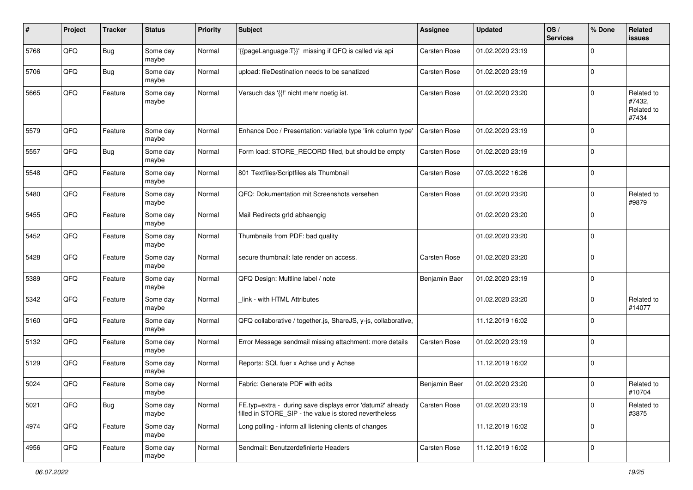| #    | Project | <b>Tracker</b> | <b>Status</b>     | <b>Priority</b> | <b>Subject</b>                                                                                                       | <b>Assignee</b>     | <b>Updated</b>   | OS/<br><b>Services</b> | % Done      | Related<br><b>issues</b>                    |
|------|---------|----------------|-------------------|-----------------|----------------------------------------------------------------------------------------------------------------------|---------------------|------------------|------------------------|-------------|---------------------------------------------|
| 5768 | QFQ     | Bug            | Some day<br>maybe | Normal          | '{{pageLanguage:T}}' missing if QFQ is called via api                                                                | Carsten Rose        | 01.02.2020 23:19 |                        | $\Omega$    |                                             |
| 5706 | QFQ     | <b>Bug</b>     | Some day<br>maybe | Normal          | upload: fileDestination needs to be sanatized                                                                        | Carsten Rose        | 01.02.2020 23:19 |                        | 0           |                                             |
| 5665 | QFQ     | Feature        | Some day<br>maybe | Normal          | Versuch das '{{!' nicht mehr noetig ist.                                                                             | Carsten Rose        | 01.02.2020 23:20 |                        | 0           | Related to<br>#7432,<br>Related to<br>#7434 |
| 5579 | QFQ     | Feature        | Some day<br>maybe | Normal          | Enhance Doc / Presentation: variable type 'link column type'                                                         | Carsten Rose        | 01.02.2020 23:19 |                        | l 0         |                                             |
| 5557 | QFQ     | Bug            | Some day<br>maybe | Normal          | Form load: STORE_RECORD filled, but should be empty                                                                  | Carsten Rose        | 01.02.2020 23:19 |                        | $\Omega$    |                                             |
| 5548 | QFQ     | Feature        | Some day<br>maybe | Normal          | 801 Textfiles/Scriptfiles als Thumbnail                                                                              | Carsten Rose        | 07.03.2022 16:26 |                        | $\Omega$    |                                             |
| 5480 | QFQ     | Feature        | Some day<br>maybe | Normal          | QFQ: Dokumentation mit Screenshots versehen                                                                          | <b>Carsten Rose</b> | 01.02.2020 23:20 |                        | $\mathbf 0$ | Related to<br>#9879                         |
| 5455 | QFQ     | Feature        | Some day<br>maybe | Normal          | Mail Redirects grld abhaengig                                                                                        |                     | 01.02.2020 23:20 |                        | $\mathbf 0$ |                                             |
| 5452 | QFQ     | Feature        | Some day<br>maybe | Normal          | Thumbnails from PDF: bad quality                                                                                     |                     | 01.02.2020 23:20 |                        | $\mathbf 0$ |                                             |
| 5428 | QFQ     | Feature        | Some day<br>maybe | Normal          | secure thumbnail: late render on access.                                                                             | Carsten Rose        | 01.02.2020 23:20 |                        | $\mathbf 0$ |                                             |
| 5389 | QFQ     | Feature        | Some day<br>maybe | Normal          | QFQ Design: Multline label / note                                                                                    | Benjamin Baer       | 01.02.2020 23:19 |                        | 0           |                                             |
| 5342 | QFQ     | Feature        | Some day<br>maybe | Normal          | link - with HTML Attributes                                                                                          |                     | 01.02.2020 23:20 |                        | $\mathbf 0$ | Related to<br>#14077                        |
| 5160 | QFQ     | Feature        | Some day<br>maybe | Normal          | QFQ collaborative / together.js, ShareJS, y-js, collaborative,                                                       |                     | 11.12.2019 16:02 |                        | $\mathbf 0$ |                                             |
| 5132 | QFQ     | Feature        | Some day<br>maybe | Normal          | Error Message sendmail missing attachment: more details                                                              | Carsten Rose        | 01.02.2020 23:19 |                        | $\mathbf 0$ |                                             |
| 5129 | QFQ     | Feature        | Some day<br>maybe | Normal          | Reports: SQL fuer x Achse und y Achse                                                                                |                     | 11.12.2019 16:02 |                        | $\mathbf 0$ |                                             |
| 5024 | QFQ     | Feature        | Some day<br>maybe | Normal          | Fabric: Generate PDF with edits                                                                                      | Benjamin Baer       | 01.02.2020 23:20 |                        | $\mathbf 0$ | Related to<br>#10704                        |
| 5021 | QFQ     | Bug            | Some day<br>maybe | Normal          | FE.typ=extra - during save displays error 'datum2' already<br>filled in STORE_SIP - the value is stored nevertheless | <b>Carsten Rose</b> | 01.02.2020 23:19 |                        | $\mathbf 0$ | Related to<br>#3875                         |
| 4974 | QFG     | Feature        | Some day<br>maybe | Normal          | Long polling - inform all listening clients of changes                                                               |                     | 11.12.2019 16:02 |                        | 0           |                                             |
| 4956 | QFG     | Feature        | Some day<br>maybe | Normal          | Sendmail: Benutzerdefinierte Headers                                                                                 | Carsten Rose        | 11.12.2019 16:02 |                        | 0           |                                             |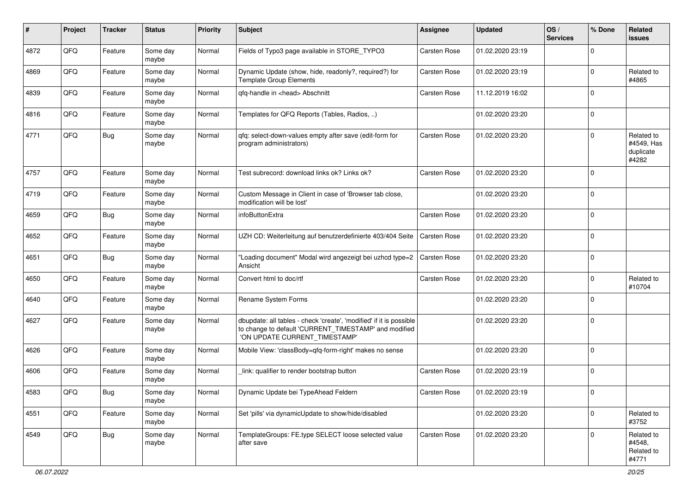| #    | Project | <b>Tracker</b> | <b>Status</b>     | <b>Priority</b> | Subject                                                                                                                                                       | <b>Assignee</b>     | <b>Updated</b>   | OS/<br><b>Services</b> | % Done      | Related<br>issues                              |
|------|---------|----------------|-------------------|-----------------|---------------------------------------------------------------------------------------------------------------------------------------------------------------|---------------------|------------------|------------------------|-------------|------------------------------------------------|
| 4872 | QFQ     | Feature        | Some day<br>maybe | Normal          | Fields of Typo3 page available in STORE_TYPO3                                                                                                                 | <b>Carsten Rose</b> | 01.02.2020 23:19 |                        | $\Omega$    |                                                |
| 4869 | QFQ     | Feature        | Some day<br>maybe | Normal          | Dynamic Update (show, hide, readonly?, required?) for<br><b>Template Group Elements</b>                                                                       | Carsten Rose        | 01.02.2020 23:19 |                        | $\Omega$    | Related to<br>#4865                            |
| 4839 | QFQ     | Feature        | Some day<br>maybe | Normal          | qfq-handle in <head> Abschnitt</head>                                                                                                                         | Carsten Rose        | 11.12.2019 16:02 |                        | $\Omega$    |                                                |
| 4816 | QFQ     | Feature        | Some day<br>maybe | Normal          | Templates for QFQ Reports (Tables, Radios, )                                                                                                                  |                     | 01.02.2020 23:20 |                        | $\mathbf 0$ |                                                |
| 4771 | QFQ     | Bug            | Some day<br>maybe | Normal          | qfq: select-down-values empty after save (edit-form for<br>program administrators)                                                                            | Carsten Rose        | 01.02.2020 23:20 |                        | $\mathbf 0$ | Related to<br>#4549, Has<br>duplicate<br>#4282 |
| 4757 | QFQ     | Feature        | Some day<br>maybe | Normal          | Test subrecord: download links ok? Links ok?                                                                                                                  | Carsten Rose        | 01.02.2020 23:20 |                        | $\mathbf 0$ |                                                |
| 4719 | QFQ     | Feature        | Some day<br>maybe | Normal          | Custom Message in Client in case of 'Browser tab close,<br>modification will be lost'                                                                         |                     | 01.02.2020 23:20 |                        | $\mathbf 0$ |                                                |
| 4659 | QFQ     | Bug            | Some day<br>maybe | Normal          | infoButtonExtra                                                                                                                                               | Carsten Rose        | 01.02.2020 23:20 |                        | $\Omega$    |                                                |
| 4652 | QFQ     | Feature        | Some day<br>maybe | Normal          | UZH CD: Weiterleitung auf benutzerdefinierte 403/404 Seite                                                                                                    | <b>Carsten Rose</b> | 01.02.2020 23:20 |                        | $\Omega$    |                                                |
| 4651 | QFQ     | Bug            | Some day<br>maybe | Normal          | "Loading document" Modal wird angezeigt bei uzhcd type=2<br>Ansicht                                                                                           | Carsten Rose        | 01.02.2020 23:20 |                        | $\mathbf 0$ |                                                |
| 4650 | QFQ     | Feature        | Some day<br>maybe | Normal          | Convert html to doc/rtf                                                                                                                                       | Carsten Rose        | 01.02.2020 23:20 |                        | $\mathbf 0$ | Related to<br>#10704                           |
| 4640 | QFQ     | Feature        | Some day<br>maybe | Normal          | Rename System Forms                                                                                                                                           |                     | 01.02.2020 23:20 |                        | $\Omega$    |                                                |
| 4627 | QFQ     | Feature        | Some day<br>maybe | Normal          | dbupdate: all tables - check 'create', 'modified' if it is possible<br>to change to default 'CURRENT_TIMESTAMP' and modified<br>'ON UPDATE CURRENT_TIMESTAMP' |                     | 01.02.2020 23:20 |                        | $\mathbf 0$ |                                                |
| 4626 | QFQ     | Feature        | Some day<br>maybe | Normal          | Mobile View: 'classBody=qfq-form-right' makes no sense                                                                                                        |                     | 01.02.2020 23:20 |                        | $\Omega$    |                                                |
| 4606 | QFQ     | Feature        | Some day<br>maybe | Normal          | link: qualifier to render bootstrap button                                                                                                                    | <b>Carsten Rose</b> | 01.02.2020 23:19 |                        | $\mathbf 0$ |                                                |
| 4583 | QFG     | <b>Bug</b>     | Some day<br>maybe | Normal          | Dynamic Update bei TypeAhead Feldern                                                                                                                          | Carsten Rose        | 01.02.2020 23:19 |                        | $\pmb{0}$   |                                                |
| 4551 | QFQ     | Feature        | Some day<br>maybe | Normal          | Set 'pills' via dynamicUpdate to show/hide/disabled                                                                                                           |                     | 01.02.2020 23:20 |                        | $\mathbf 0$ | Related to<br>#3752                            |
| 4549 | QFQ     | <b>Bug</b>     | Some day<br>maybe | Normal          | TemplateGroups: FE.type SELECT loose selected value<br>after save                                                                                             | <b>Carsten Rose</b> | 01.02.2020 23:20 |                        | $\mathbf 0$ | Related to<br>#4548,<br>Related to<br>#4771    |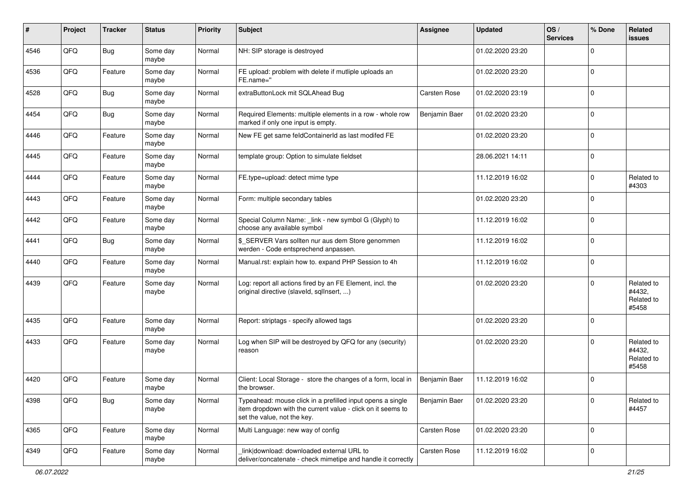| #    | Project | <b>Tracker</b> | <b>Status</b>     | <b>Priority</b> | <b>Subject</b>                                                                                                                                           | Assignee      | <b>Updated</b>   | OS/<br><b>Services</b> | % Done      | Related<br>issues                           |
|------|---------|----------------|-------------------|-----------------|----------------------------------------------------------------------------------------------------------------------------------------------------------|---------------|------------------|------------------------|-------------|---------------------------------------------|
| 4546 | QFQ     | <b>Bug</b>     | Some day<br>maybe | Normal          | NH: SIP storage is destroyed                                                                                                                             |               | 01.02.2020 23:20 |                        | $\Omega$    |                                             |
| 4536 | QFQ     | Feature        | Some day<br>maybe | Normal          | FE upload: problem with delete if mutliple uploads an<br>FE.name="                                                                                       |               | 01.02.2020 23:20 |                        | $\mathbf 0$ |                                             |
| 4528 | QFQ     | Bug            | Some day<br>maybe | Normal          | extraButtonLock mit SQLAhead Bug                                                                                                                         | Carsten Rose  | 01.02.2020 23:19 |                        | $\Omega$    |                                             |
| 4454 | QFQ     | <b>Bug</b>     | Some day<br>maybe | Normal          | Required Elements: multiple elements in a row - whole row<br>marked if only one input is empty.                                                          | Benjamin Baer | 01.02.2020 23:20 |                        | $\mathbf 0$ |                                             |
| 4446 | QFQ     | Feature        | Some day<br>maybe | Normal          | New FE get same feldContainerId as last modifed FE                                                                                                       |               | 01.02.2020 23:20 |                        | $\Omega$    |                                             |
| 4445 | QFQ     | Feature        | Some day<br>maybe | Normal          | template group: Option to simulate fieldset                                                                                                              |               | 28.06.2021 14:11 |                        | $\Omega$    |                                             |
| 4444 | QFQ     | Feature        | Some day<br>maybe | Normal          | FE.type=upload: detect mime type                                                                                                                         |               | 11.12.2019 16:02 |                        | $\Omega$    | Related to<br>#4303                         |
| 4443 | QFQ     | Feature        | Some day<br>maybe | Normal          | Form: multiple secondary tables                                                                                                                          |               | 01.02.2020 23:20 |                        | $\Omega$    |                                             |
| 4442 | QFQ     | Feature        | Some day<br>maybe | Normal          | Special Column Name: _link - new symbol G (Glyph) to<br>choose any available symbol                                                                      |               | 11.12.2019 16:02 |                        | $\mathbf 0$ |                                             |
| 4441 | QFQ     | Bug            | Some day<br>maybe | Normal          | \$_SERVER Vars sollten nur aus dem Store genommen<br>werden - Code entsprechend anpassen.                                                                |               | 11.12.2019 16:02 |                        | 0           |                                             |
| 4440 | QFQ     | Feature        | Some day<br>maybe | Normal          | Manual.rst: explain how to. expand PHP Session to 4h                                                                                                     |               | 11.12.2019 16:02 |                        | $\Omega$    |                                             |
| 4439 | QFQ     | Feature        | Some day<br>maybe | Normal          | Log: report all actions fired by an FE Element, incl. the<br>original directive (slaveld, sqllnsert, )                                                   |               | 01.02.2020 23:20 |                        | $\Omega$    | Related to<br>#4432,<br>Related to<br>#5458 |
| 4435 | QFQ     | Feature        | Some day<br>maybe | Normal          | Report: striptags - specify allowed tags                                                                                                                 |               | 01.02.2020 23:20 |                        | $\Omega$    |                                             |
| 4433 | QFQ     | Feature        | Some day<br>maybe | Normal          | Log when SIP will be destroyed by QFQ for any (security)<br>reason                                                                                       |               | 01.02.2020 23:20 |                        | $\Omega$    | Related to<br>#4432,<br>Related to<br>#5458 |
| 4420 | QFQ     | Feature        | Some day<br>maybe | Normal          | Client: Local Storage - store the changes of a form, local in<br>the browser.                                                                            | Benjamin Baer | 11.12.2019 16:02 |                        | $\Omega$    |                                             |
| 4398 | QFQ     | Bug            | Some day<br>maybe | Normal          | Typeahead: mouse click in a prefilled input opens a single<br>item dropdown with the current value - click on it seems to<br>set the value, not the key. | Benjamin Baer | 01.02.2020 23:20 |                        | $\mathbf 0$ | Related to<br>#4457                         |
| 4365 | QFQ     | Feature        | Some day<br>maybe | Normal          | Multi Language: new way of config                                                                                                                        | Carsten Rose  | 01.02.2020 23:20 |                        | $\mathbf 0$ |                                             |
| 4349 | QFQ     | Feature        | Some day<br>maybe | Normal          | link download: downloaded external URL to<br>deliver/concatenate - check mimetipe and handle it correctly                                                | Carsten Rose  | 11.12.2019 16:02 |                        | 0           |                                             |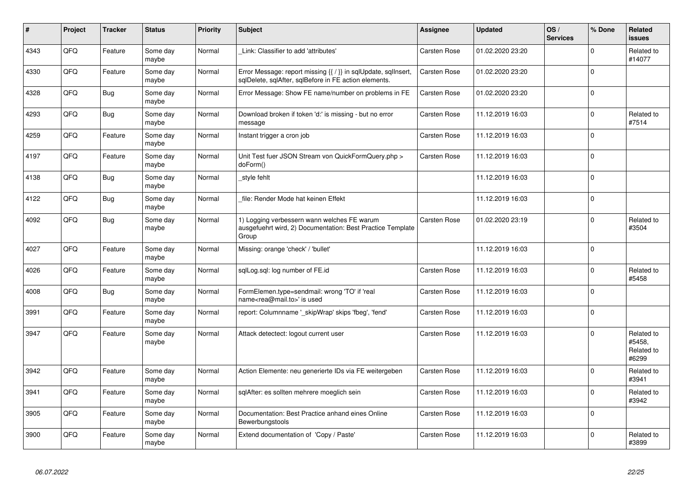| #    | Project | <b>Tracker</b> | <b>Status</b>     | <b>Priority</b> | <b>Subject</b>                                                                                                          | Assignee            | <b>Updated</b>   | OS/<br><b>Services</b> | % Done         | Related<br><b>issues</b>                    |
|------|---------|----------------|-------------------|-----------------|-------------------------------------------------------------------------------------------------------------------------|---------------------|------------------|------------------------|----------------|---------------------------------------------|
| 4343 | QFQ     | Feature        | Some day<br>maybe | Normal          | Link: Classifier to add 'attributes'                                                                                    | Carsten Rose        | 01.02.2020 23:20 |                        | $\Omega$       | Related to<br>#14077                        |
| 4330 | QFQ     | Feature        | Some day<br>maybe | Normal          | Error Message: report missing {{ / }} in sqlUpdate, sqlInsert,<br>sqlDelete, sqlAfter, sqlBefore in FE action elements. | Carsten Rose        | 01.02.2020 23:20 |                        | $\Omega$       |                                             |
| 4328 | QFQ     | <b>Bug</b>     | Some day<br>maybe | Normal          | Error Message: Show FE name/number on problems in FE                                                                    | Carsten Rose        | 01.02.2020 23:20 |                        | $\Omega$       |                                             |
| 4293 | QFQ     | <b>Bug</b>     | Some day<br>maybe | Normal          | Download broken if token 'd:' is missing - but no error<br>message                                                      | Carsten Rose        | 11.12.2019 16:03 |                        | $\Omega$       | Related to<br>#7514                         |
| 4259 | QFQ     | Feature        | Some day<br>maybe | Normal          | Instant trigger a cron job                                                                                              | Carsten Rose        | 11.12.2019 16:03 |                        | $\Omega$       |                                             |
| 4197 | QFQ     | Feature        | Some day<br>maybe | Normal          | Unit Test fuer JSON Stream von QuickFormQuery.php ><br>doForm()                                                         | Carsten Rose        | 11.12.2019 16:03 |                        | $\Omega$       |                                             |
| 4138 | QFQ     | <b>Bug</b>     | Some day<br>maybe | Normal          | style fehlt                                                                                                             |                     | 11.12.2019 16:03 |                        | $\Omega$       |                                             |
| 4122 | QFQ     | <b>Bug</b>     | Some day<br>maybe | Normal          | file: Render Mode hat keinen Effekt                                                                                     |                     | 11.12.2019 16:03 |                        | $\mathbf 0$    |                                             |
| 4092 | QFQ     | Bug            | Some day<br>maybe | Normal          | 1) Logging verbessern wann welches FE warum<br>ausgefuehrt wird, 2) Documentation: Best Practice Template<br>Group      | <b>Carsten Rose</b> | 01.02.2020 23:19 |                        | $\Omega$       | Related to<br>#3504                         |
| 4027 | QFQ     | Feature        | Some day<br>maybe | Normal          | Missing: orange 'check' / 'bullet'                                                                                      |                     | 11.12.2019 16:03 |                        | $\overline{0}$ |                                             |
| 4026 | QFQ     | Feature        | Some day<br>maybe | Normal          | sqlLog.sql: log number of FE.id                                                                                         | Carsten Rose        | 11.12.2019 16:03 |                        | $\Omega$       | Related to<br>#5458                         |
| 4008 | QFQ     | Bug            | Some day<br>maybe | Normal          | FormElemen.type=sendmail: wrong 'TO' if 'real<br>name <rea@mail.to>' is used</rea@mail.to>                              | Carsten Rose        | 11.12.2019 16:03 |                        | $\Omega$       |                                             |
| 3991 | QFQ     | Feature        | Some day<br>maybe | Normal          | report: Columnname ' skipWrap' skips 'fbeg', 'fend'                                                                     | Carsten Rose        | 11.12.2019 16:03 |                        | $\Omega$       |                                             |
| 3947 | QFQ     | Feature        | Some day<br>maybe | Normal          | Attack detectect: logout current user                                                                                   | Carsten Rose        | 11.12.2019 16:03 |                        | $\Omega$       | Related to<br>#5458,<br>Related to<br>#6299 |
| 3942 | QFQ     | Feature        | Some day<br>maybe | Normal          | Action Elemente: neu generierte IDs via FE weitergeben                                                                  | Carsten Rose        | 11.12.2019 16:03 |                        | $\Omega$       | Related to<br>#3941                         |
| 3941 | QFQ     | Feature        | Some day<br>maybe | Normal          | sqlAfter: es sollten mehrere moeglich sein                                                                              | Carsten Rose        | 11.12.2019 16:03 |                        | $\Omega$       | Related to<br>#3942                         |
| 3905 | QFQ     | Feature        | Some day<br>maybe | Normal          | Documentation: Best Practice anhand eines Online<br>Bewerbungstools                                                     | <b>Carsten Rose</b> | 11.12.2019 16:03 |                        | $\Omega$       |                                             |
| 3900 | QFQ     | Feature        | Some day<br>maybe | Normal          | Extend documentation of 'Copy / Paste'                                                                                  | Carsten Rose        | 11.12.2019 16:03 |                        | $\Omega$       | Related to<br>#3899                         |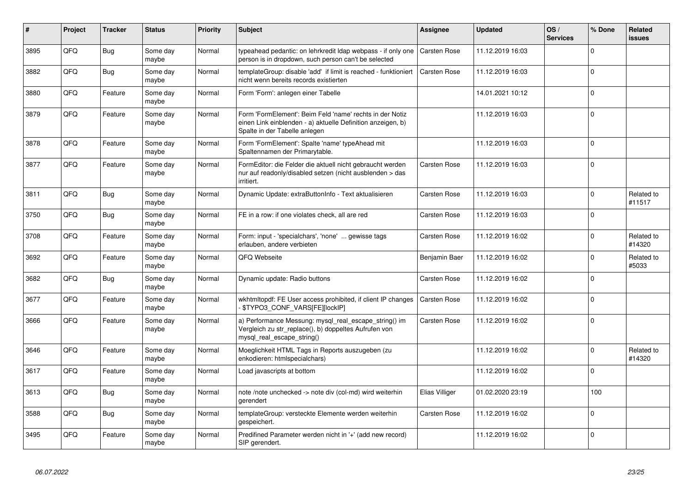| $\vert$ # | Project | <b>Tracker</b> | <b>Status</b>     | <b>Priority</b> | <b>Subject</b>                                                                                                                                           | Assignee            | <b>Updated</b>   | OS/<br><b>Services</b> | % Done      | Related<br><b>issues</b> |
|-----------|---------|----------------|-------------------|-----------------|----------------------------------------------------------------------------------------------------------------------------------------------------------|---------------------|------------------|------------------------|-------------|--------------------------|
| 3895      | QFQ     | Bug            | Some day<br>maybe | Normal          | typeahead pedantic: on lehrkredit Idap webpass - if only one<br>person is in dropdown, such person can't be selected                                     | <b>Carsten Rose</b> | 11.12.2019 16:03 |                        | $\Omega$    |                          |
| 3882      | QFQ     | Bug            | Some day<br>maybe | Normal          | templateGroup: disable 'add' if limit is reached - funktioniert<br>nicht wenn bereits records existierten                                                | <b>Carsten Rose</b> | 11.12.2019 16:03 |                        | $\Omega$    |                          |
| 3880      | QFQ     | Feature        | Some day<br>maybe | Normal          | Form 'Form': anlegen einer Tabelle                                                                                                                       |                     | 14.01.2021 10:12 |                        | $\Omega$    |                          |
| 3879      | QFQ     | Feature        | Some day<br>maybe | Normal          | Form 'FormElement': Beim Feld 'name' rechts in der Notiz<br>einen Link einblenden - a) aktuelle Definition anzeigen, b)<br>Spalte in der Tabelle anlegen |                     | 11.12.2019 16:03 |                        | 0           |                          |
| 3878      | QFQ     | Feature        | Some day<br>maybe | Normal          | Form 'FormElement': Spalte 'name' typeAhead mit<br>Spaltennamen der Primarytable.                                                                        |                     | 11.12.2019 16:03 |                        | $\Omega$    |                          |
| 3877      | QFQ     | Feature        | Some day<br>maybe | Normal          | FormEditor: die Felder die aktuell nicht gebraucht werden<br>nur auf readonly/disabled setzen (nicht ausblenden > das<br>irritiert.                      | Carsten Rose        | 11.12.2019 16:03 |                        | $\Omega$    |                          |
| 3811      | QFQ     | Bug            | Some day<br>maybe | Normal          | Dynamic Update: extraButtonInfo - Text aktualisieren                                                                                                     | Carsten Rose        | 11.12.2019 16:03 |                        | $\Omega$    | Related to<br>#11517     |
| 3750      | QFQ     | <b>Bug</b>     | Some day<br>maybe | Normal          | FE in a row: if one violates check, all are red                                                                                                          | <b>Carsten Rose</b> | 11.12.2019 16:03 |                        | $\Omega$    |                          |
| 3708      | QFQ     | Feature        | Some day<br>maybe | Normal          | Form: input - 'specialchars', 'none'  gewisse tags<br>erlauben, andere verbieten                                                                         | <b>Carsten Rose</b> | 11.12.2019 16:02 |                        | $\Omega$    | Related to<br>#14320     |
| 3692      | QFQ     | Feature        | Some day<br>maybe | Normal          | QFQ Webseite                                                                                                                                             | Benjamin Baer       | 11.12.2019 16:02 |                        | $\Omega$    | Related to<br>#5033      |
| 3682      | QFQ     | Bug            | Some day<br>maybe | Normal          | Dynamic update: Radio buttons                                                                                                                            | Carsten Rose        | 11.12.2019 16:02 |                        | $\Omega$    |                          |
| 3677      | QFQ     | Feature        | Some day<br>maybe | Normal          | wkhtmltopdf: FE User access prohibited, if client IP changes<br>\$TYPO3_CONF_VARS[FE][lockIP]                                                            | <b>Carsten Rose</b> | 11.12.2019 16:02 |                        | $\Omega$    |                          |
| 3666      | QFQ     | Feature        | Some day<br>maybe | Normal          | a) Performance Messung: mysql real escape string() im<br>Vergleich zu str_replace(), b) doppeltes Aufrufen von<br>mysql_real_escape_string()             | Carsten Rose        | 11.12.2019 16:02 |                        | $\Omega$    |                          |
| 3646      | QFQ     | Feature        | Some day<br>maybe | Normal          | Moeglichkeit HTML Tags in Reports auszugeben (zu<br>enkodieren: htmlspecialchars)                                                                        |                     | 11.12.2019 16:02 |                        | $\Omega$    | Related to<br>#14320     |
| 3617      | QFQ     | Feature        | Some day<br>maybe | Normal          | Load javascripts at bottom                                                                                                                               |                     | 11.12.2019 16:02 |                        | $\Omega$    |                          |
| 3613      | QFQ     | <b>Bug</b>     | Some day<br>maybe | Normal          | note /note unchecked -> note div (col-md) wird weiterhin<br>gerendert                                                                                    | Elias Villiger      | 01.02.2020 23:19 |                        | 100         |                          |
| 3588      | QFQ     | <b>Bug</b>     | Some day<br>maybe | Normal          | templateGroup: versteckte Elemente werden weiterhin<br>gespeichert.                                                                                      | Carsten Rose        | 11.12.2019 16:02 |                        | $\mathbf 0$ |                          |
| 3495      | QFQ     | Feature        | Some day<br>maybe | Normal          | Predifined Parameter werden nicht in '+' (add new record)<br>SIP gerendert.                                                                              |                     | 11.12.2019 16:02 |                        | $\Omega$    |                          |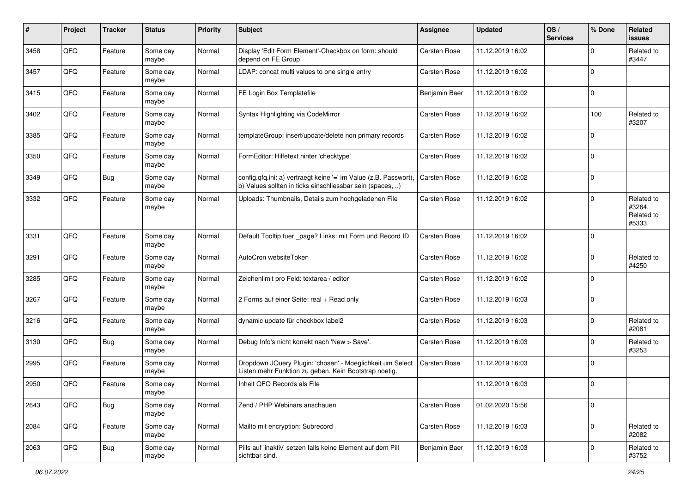| $\pmb{\#}$ | Project | <b>Tracker</b> | <b>Status</b>     | <b>Priority</b> | <b>Subject</b>                                                                                                                | <b>Assignee</b>     | <b>Updated</b>   | OS/<br><b>Services</b> | % Done      | Related<br>issues                           |
|------------|---------|----------------|-------------------|-----------------|-------------------------------------------------------------------------------------------------------------------------------|---------------------|------------------|------------------------|-------------|---------------------------------------------|
| 3458       | QFQ     | Feature        | Some day<br>maybe | Normal          | Display 'Edit Form Element'-Checkbox on form: should<br>depend on FE Group                                                    | Carsten Rose        | 11.12.2019 16:02 |                        | $\mathbf 0$ | Related to<br>#3447                         |
| 3457       | QFQ     | Feature        | Some day<br>maybe | Normal          | LDAP: concat multi values to one single entry                                                                                 | Carsten Rose        | 11.12.2019 16:02 |                        | $\mathbf 0$ |                                             |
| 3415       | QFQ     | Feature        | Some day<br>maybe | Normal          | FE Login Box Templatefile                                                                                                     | Benjamin Baer       | 11.12.2019 16:02 |                        | $\Omega$    |                                             |
| 3402       | QFQ     | Feature        | Some day<br>maybe | Normal          | Syntax Highlighting via CodeMirror                                                                                            | Carsten Rose        | 11.12.2019 16:02 |                        | 100         | Related to<br>#3207                         |
| 3385       | QFQ     | Feature        | Some day<br>maybe | Normal          | templateGroup: insert/update/delete non primary records                                                                       | Carsten Rose        | 11.12.2019 16:02 |                        | $\Omega$    |                                             |
| 3350       | QFQ     | Feature        | Some day<br>maybe | Normal          | FormEditor: Hilfetext hinter 'checktype'                                                                                      | Carsten Rose        | 11.12.2019 16:02 |                        | $\mathbf 0$ |                                             |
| 3349       | QFQ     | <b>Bug</b>     | Some day<br>maybe | Normal          | config.qfq.ini: a) vertraegt keine '=' im Value (z.B. Passwort),<br>b) Values sollten in ticks einschliessbar sein (spaces, ) | Carsten Rose        | 11.12.2019 16:02 |                        | 0           |                                             |
| 3332       | QFQ     | Feature        | Some day<br>maybe | Normal          | Uploads: Thumbnails, Details zum hochgeladenen File                                                                           | Carsten Rose        | 11.12.2019 16:02 |                        | $\mathbf 0$ | Related to<br>#3264,<br>Related to<br>#5333 |
| 3331       | QFQ     | Feature        | Some day<br>maybe | Normal          | Default Tooltip fuer _page? Links: mit Form und Record ID                                                                     | Carsten Rose        | 11.12.2019 16:02 |                        | $\Omega$    |                                             |
| 3291       | QFQ     | Feature        | Some day<br>maybe | Normal          | AutoCron websiteToken                                                                                                         | Carsten Rose        | 11.12.2019 16:02 |                        | $\mathbf 0$ | Related to<br>#4250                         |
| 3285       | QFQ     | Feature        | Some day<br>maybe | Normal          | Zeichenlimit pro Feld: textarea / editor                                                                                      | Carsten Rose        | 11.12.2019 16:02 |                        | 0           |                                             |
| 3267       | QFQ     | Feature        | Some day<br>maybe | Normal          | 2 Forms auf einer Seite: real + Read only                                                                                     | Carsten Rose        | 11.12.2019 16:03 |                        | $\mathbf 0$ |                                             |
| 3216       | QFQ     | Feature        | Some day<br>maybe | Normal          | dynamic update für checkbox label2                                                                                            | Carsten Rose        | 11.12.2019 16:03 |                        | $\mathbf 0$ | Related to<br>#2081                         |
| 3130       | QFQ     | <b>Bug</b>     | Some day<br>maybe | Normal          | Debug Info's nicht korrekt nach 'New > Save'.                                                                                 | Carsten Rose        | 11.12.2019 16:03 |                        | $\mathbf 0$ | Related to<br>#3253                         |
| 2995       | QFQ     | Feature        | Some day<br>maybe | Normal          | Dropdown JQuery Plugin: 'chosen' - Moeglichkeit um Select<br>Listen mehr Funktion zu geben. Kein Bootstrap noetig.            | <b>Carsten Rose</b> | 11.12.2019 16:03 |                        | $\mathbf 0$ |                                             |
| 2950       | QFQ     | Feature        | Some day<br>maybe | Normal          | Inhalt QFQ Records als File                                                                                                   |                     | 11.12.2019 16:03 |                        | $\mathbf 0$ |                                             |
| 2643       | QFQ     | <b>Bug</b>     | Some day<br>maybe | Normal          | Zend / PHP Webinars anschauen                                                                                                 | Carsten Rose        | 01.02.2020 15:56 |                        | 0           |                                             |
| 2084       | QFQ     | Feature        | Some day<br>maybe | Normal          | Mailto mit encryption: Subrecord                                                                                              | Carsten Rose        | 11.12.2019 16:03 |                        | $\mathbf 0$ | Related to<br>#2082                         |
| 2063       | QFQ     | <b>Bug</b>     | Some day<br>maybe | Normal          | Pills auf 'inaktiv' setzen falls keine Element auf dem Pill<br>sichtbar sind.                                                 | Benjamin Baer       | 11.12.2019 16:03 |                        | $\mathbf 0$ | Related to<br>#3752                         |